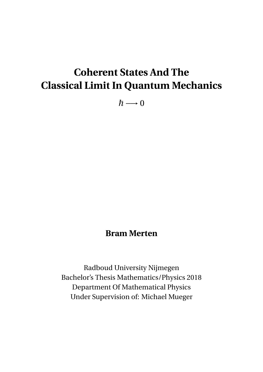# **Coherent States And The Classical Limit In Quantum Mechanics**

 $\hbar \longrightarrow 0$ 

## **Bram Merten**

Radboud University Nijmegen Bachelor's Thesis Mathematics/Physics 2018 Department Of Mathematical Physics Under Supervision of: Michael Mueger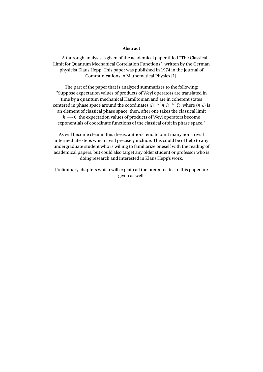#### **Abstract**

A thorough analysis is given of the academical paper titled "The Classical Limit for Quantum Mechanical Correlation Functions", written by the German physicist Klaus Hepp. This paper was published in 1974 in the journal of Communications in Mathematical Physics [\[1\]](#page-37-0).

The part of the paper that is analyzed summarizes to the following: "Suppose expectation values of products of Weyl operators are translated in time by a quantum mechanical Hamiltonian and are in coherent states centered in phase space around the coordinates ( $\hbar^{-1/2}$ π,  $\hbar^{-1/2}$ *ξ*), where (π, *ξ*) is an element of classical phase space, then, after one takes the classical limit  $\hbar \longrightarrow 0$ , the expectation values of products of Weyl operators become exponentials of coordinate functions of the classical orbit in phase space."

As will become clear in this thesis, authors tend to omit many non-trivial intermediate steps which I will precisely include. This could be of help to any undergraduate student who is willing to familiarize oneself with the reading of academical papers, but could also target any older student or professor who is doing research and interested in Klaus Hepp's work.

Preliminary chapters which will explain all the prerequisites to this paper are given as well.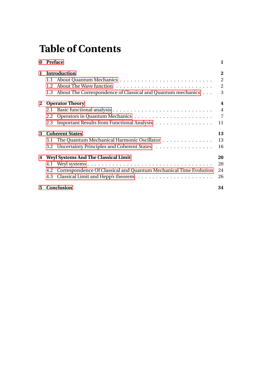# **Table of Contents**

| 0            | <b>Preface</b>                              |                                                                   | 1              |
|--------------|---------------------------------------------|-------------------------------------------------------------------|----------------|
| $\mathbf{1}$ |                                             | Introduction                                                      |                |
|              | 1.1                                         |                                                                   | $\overline{2}$ |
|              | 1.2 <sub>1</sub>                            |                                                                   | $\overline{2}$ |
|              | 1.3                                         | About The Correspondence of Classical and Quantum mechanics       | 3              |
|              | 2 Operator Theory                           |                                                                   | 4              |
|              | 2.1                                         |                                                                   | $\overline{4}$ |
|              | 2.2                                         |                                                                   | $\overline{7}$ |
|              | 2.3                                         | Important Results from Functional Analysis                        | 11             |
| 3            | <b>Coherent States</b>                      |                                                                   | 13             |
|              | 3.1                                         | The Quantum Mechanical Harmonic Oscillator                        | 13             |
|              |                                             | 3.2 Uncertainty Principles and Coherent States                    | 16             |
| 4            | <b>Weyl Systems And The Classical Limit</b> |                                                                   | 20             |
|              |                                             |                                                                   | 20             |
|              | 4.2                                         | Correspondence Of Classical and Quantum Mechanical Time Evolution | 24             |
|              | 4.3                                         |                                                                   | 26             |
| 5            | <b>Conclusion</b>                           |                                                                   | 34             |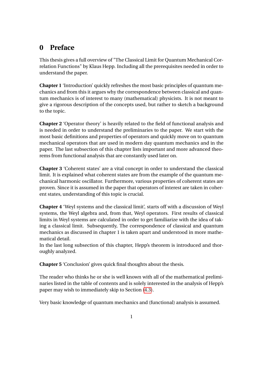## <span id="page-3-0"></span>**0 Preface**

This thesis gives a full overview of "The Classical Limit for Quantum Mechanical Correlation Functions" by Klaus Hepp. Including all the prerequisites needed in order to understand the paper.

**Chapter 1** 'Introduction' quickly refreshes the most basic principles of quantum mechanics and from this it argues why the correspondence between classical and quantum mechanics is of interest to many (mathematical) physicists. It is not meant to give a rigorous description of the concepts used, but rather to sketch a background to the topic.

**Chapter 2** 'Operator theory' is heavily related to the field of functional analysis and is needed in order to understand the preliminaries to the paper. We start with the most basic definitions and properties of operators and quickly move on to quantum mechanical operators that are used in modern day quantum mechanics and in the paper. The last subsection of this chapter lists important and more advanced theorems from functional analysis that are constantly used later on.

**Chapter 3** 'Coherent states' are a vital concept in order to understand the classical limit. It is explained what coherent states are from the example of the quantum mechanical harmonic oscillator. Furthermore, various properties of coherent states are proven. Since it is assumed in the paper that operators of interest are taken in coherent states, understanding of this topic is crucial.

**Chapter 4** 'Weyl systems and the classical limit', starts off with a discussion of Weyl systems, the Weyl algebra and, from that, Weyl operators. First results of classical limits in Weyl systems are calculated in order to get familiarize with the idea of taking a classical limit. Subsequently, The correspondence of classical and quantum mechanics as discussed in chapter 1 is taken apart and understood in more mathematical detail.

In the last long subsection of this chapter, Hepp's theorem is introduced and thoroughly analyzed.

**Chapter 5** 'Conclusion' gives quick final thoughts about the thesis.

The reader who thinks he or she is well known with all of the mathematical preliminaries listed in the table of contents and is solely interested in the analysis of Hepp's paper may wish to immediately skip to Section [\(4.3\)](#page-28-0).

Very basic knowledge of quantum mechanics and (functional) analysis is assumed.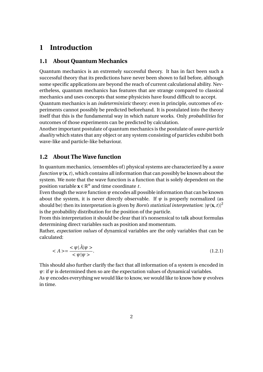## <span id="page-4-0"></span>**1 Introduction**

#### <span id="page-4-1"></span>**1.1 About Quantum Mechanics**

Quantum mechanics is an extremely successful theory. It has in fact been such a successful theory that its predictions have never been shown to fail before, although some specific applications are beyond the reach of current calculational ability. Nevertheless, quantum mechanics has features that are strange compared to classical mechanics and uses concepts that some physicists have found difficult to accept. Quantum mechanics is an *indeterministic* theory: even in principle, outcomes of experiments cannot possibly be predicted beforehand. It is postulated into the theory itself that this is the fundamental way in which nature works. Only *probabilities* for outcomes of those experiments can be predicted by calculation.

Another important postulate of quantum mechanics is the postulate of *wave-particle duality* which states that any object or any system consisting of particles exhibit both wave-like and particle-like behaviour.

#### <span id="page-4-2"></span>**1.2 About The Wave function**

In quantum mechanics, (ensembles of ) physical systems are characterized by a *wave function*  $\psi$ (**x**, *t*), which contains all information that can possibly be known about the system. We note that the wave function is a function that is solely dependent on the position variable  $\mathbf{x} \in \mathbb{R}^n$  and time coordinate *t*.

Even though the wave function *ψ* encodes all possible information that can be known about the system, it is never directly observable. If  $\psi$  is properly normalized (as should be) then its interpretation is given by *Born's statistical interpretation*:  $|\psi(\mathbf{x}, t)|^2$ is the probability distribution for the position of the particle.

From this interpretation it should be clear that it's nonsensical to talk about formulas determining direct variables such as position and momentum.

Rather, *expectation values* of dynamical variables are the only variables that can be calculated:

<span id="page-4-3"></span>
$$
\langle A \rangle = \frac{\langle \psi | \hat{A} | \psi \rangle}{\langle \psi | \psi \rangle}.
$$
\n(1.2.1)

This should also further clarify the fact that all information of a system is encoded in  $\psi$ : if  $\psi$  is determined then so are the expectation values of dynamical variables.

As *ψ* encodes everything we would like to know, we would like to know how *ψ* evolves in time.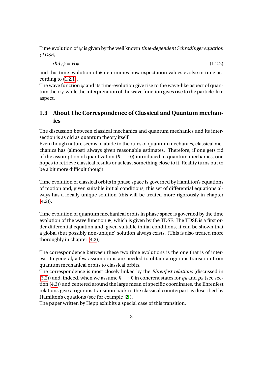Time evolution of *ψ* is given by the well known *time-dependent Schrödinger equation (TDSE)*:

 $i\hbar \partial_t \psi = \hat{H}\psi$ , (1.2.2)

and this time evolution of  $\psi$  determines how expectation values evolve in time according to [\(1.2.1\)](#page-4-3).

The wave function  $\psi$  and its time-evolution give rise to the wave-like aspect of quantum theory, while the interpretation of the wave function gives rise to the particle-like aspect.

### <span id="page-5-0"></span>**1.3 About The Correspondence of Classical and Quantum mechanics**

The discussion between classical mechanics and quantum mechanics and its intersection is as old as quantum theory itself.

Even though nature seems to abide to the rules of quantum mechanics, classical mechanics has (almost) always given reasonable estimates. Therefore, if one gets rid of the assumption of quantization ( $\hbar \longrightarrow 0$ ) introduced in quantum mechanics, one hopes to retrieve classical results or at least something close to it. Reality turns out to be a bit more difficult though.

Time evolution of classical orbits in phase space is governed by Hamilton's equations of motion and, given suitable initial conditions, this set of differential equations always has a locally unique solution (this will be treated more rigorously in chapter  $(4.2)$ .

Time evolution of quantum mechanical orbits in phase space is governed by the time evolution of the wave function  $\psi$ , which is given by the TDSE. The TDSE is a first order differential equation and, given suitable initial conditions, it can be shown that a global (but possibly non-unique) solution always exists. (This is also treated more thoroughly in chapter [\(4.2\)](#page-26-0))

The correspondence between these two time evolutions is the one that is of interest. In general, a few assumptions are needed to obtain a rigorous transition from quantum mechanical orbits to classical orbits.

The correspondence is most closely linked by the *Ehrenfest relations* (discussed in [\(3.2\)](#page-18-0)) and, indeed, when we assume  $\hbar \rightarrow 0$  in coherent states for  $q_h$  and  $p_h$  (see section [\(4.3\)](#page-28-0)) and centered around the large mean of specific coordinates, the Ehrenfest relations give a rigorous transition back to the classical counterpart as described by Hamilton's equations (see for example [\[2\]](#page-37-1)).

The paper written by Hepp exhibits a special case of this transition.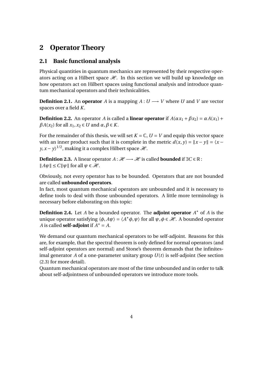## <span id="page-6-0"></span>**2 Operator Theory**

### <span id="page-6-1"></span>**2.1 Basic functional analysis**

Physical quantities in quantum mechanics are represented by their respective operators acting on a Hilbert space  $\mathcal{H}$ . In this section we will build up knowledge on how operators act on Hilbert spaces using functional analysis and introduce quantum mechanical operators and their technicalities.

**Definition 2.1.** An **operator** *A* is a mapping  $A: U \rightarrow V$  where *U* and *V* are vector spaces over a field *K*.

**Definition 2.2.** An operator *A* is called a **linear operator** if  $A(\alpha x_1 + \beta x_2) = \alpha A(x_1) + \beta A(x_2)$  $\beta A(x_2)$  for all  $x_1, x_2 \in U$  and  $\alpha, \beta \in K$ .

For the remainder of this thesis, we will set  $K = \mathbb{C}$ ,  $U = V$  and equip this vector space with an inner product such that it is complete in the metric  $d(x, y) = ||x - y|| = \langle x - y \rangle$ *y, x – y\*  $^{1/2}$ , making it a complex Hilbert space  $\mathscr{H}.$ 

**Definition 2.3.** A linear operator  $A: \mathcal{H} \longrightarrow \mathcal{H}$  is called **bounded** if ∃*C* ∈ R:  $||A\psi|| \leq C||\psi||$  for all  $\psi \in \mathcal{H}$ .

Obviously, not every operator has to be bounded. Operators that are not bounded are called **unbounded operators**.

In fact, most quantum mechanical operators are unbounded and it is necessary to define tools to deal with those unbounded operators. A little more terminology is necessary before elaborating on this topic:

**Definition 2.4.** Let *A* be a bounded operator. The **adjoint operator** *A* <sup>∗</sup> of *A* is the unique operator satisfying  $\langle \phi, A\psi \rangle = \langle A^* \phi, \psi \rangle$  for all  $\psi, \phi \in \mathcal{H}$ . A bounded operator *A* is called **self-adjoint** if  $A^* = A$ .

We demand our quantum mechanical operators to be self-adjoint. Reasons for this are, for example, that the spectral theorem is only defined for normal operators (and self-adjoint operators are normal) and Stone's theorem demands that the infinitesimal generator *A* of a one-parameter unitary group *U*(*t*) is self-adjoint (See section (2.3) for more detail).

Quantum mechanical operators are most of the time unbounded and in order to talk about self-adjointness of unbounded operators we introduce more tools.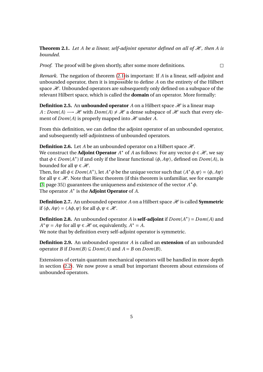<span id="page-7-0"></span>**Theorem 2.1.** Let A be a linear, self-adjoint operator defined on all of  $H$ , then A is *bounded.*

*Proof.* The proof will be given shortly, after some more definitions.  $\Box$ 

*Remark.* The negation of theorem [\(2.1\)](#page-7-0)is important: If *A* is a linear, self-adjoint and unbounded operator, then it is impossible to define *A* on the entirety of the Hilbert space  $\mathcal{H}$ . Unbounded operators are subsequently only defined on a subspace of the relevant Hilbert space, which is called the **domain** of an operator. More formally:

**Definition 2.5.** An **unbounded operator** *A* on a Hilbert space  $\mathcal{H}$  is a linear map *A* : *Dom*(*A*)  $\rightarrow \mathcal{H}$  with *Dom*(*A*)  $\neq \mathcal{H}$  a dense subspace of  $\mathcal{H}$  such that every element of  $Dom(A)$  is properly mapped into  $\mathcal H$  under A.

From this definition, we can define the adjoint operator of an unbounded operator, and subsequently self-adjointness of unbounded operators.

**Definition 2.6.** Let *A* be an unbounded operator on a Hilbert space  $\mathcal{H}$ . We construct the **Adjoint Operator**  $A^*$  of  $\overline{A}$  as follows: For any vector  $\phi \in \mathcal{H}$ , we say that  $\phi \in Dom(A^*)$  if and only if the linear functional  $\langle \phi, A\psi \rangle$ , defined on  $Dom(A)$ , is bounded for all  $\psi \in \mathcal{H}$ .

Then, for all  $\phi \in Dom(A^*)$ , let  $A^*\phi$  be the unique vector such that  $\langle A^*\phi, \psi \rangle = \langle \phi, A\psi \rangle$ for all  $\psi \in \mathcal{H}$ . Note that Riesz theorem (if this theorem is unfamiliar, see for example [\[3,](#page-37-2) page 35]) guarantees the uniqueness and existence of the vector *A* <sup>∗</sup>*φ*. The operator *A* ∗ is the **Adjoint Operator** of *A*.

**Definition 2.7.** An unbounded operator *A* on a Hilbert space  $\mathcal{H}$  is called **Symmetric** if  $\langle \phi, A\psi \rangle = \langle A\phi, \psi \rangle$  for all  $\phi, \psi \in \mathcal{H}$ .

**Definition 2.8.** An unbounded operator *A* is **self-adjoint** if  $Dom(A^*) = Dom(A)$  and  $A^* \psi = A \psi$  for all  $\psi \in \mathcal{H}$  or, equivalently,  $A^* = A$ . We note that by definition every self-adjoint operator is symmetric.

**Definition 2.9.** An unbounded operator *A* is called an **extension** of an unbounded operator *B* if  $Dom(B) \subseteq Dom(A)$  and  $A = B$  on  $Dom(B)$ .

Extensions of certain quantum mechanical operators will be handled in more depth in section [\(2.2\)](#page-9-0). We now prove a small but important theorem about extensions of unbounded operators.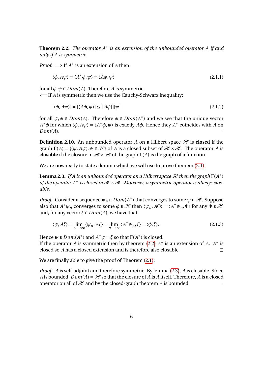<span id="page-8-0"></span>**Theorem 2.2.** *The operator A*<sup>∗</sup> *is an extension of the unbounded operator A if and only if A is symmetric.*

*Proof.*  $\implies$  If  $A^*$  is an extension of *A* then

$$
\langle \phi, A\psi \rangle = \langle A^* \phi, \psi \rangle = \langle A\phi, \psi \rangle \tag{2.1.1}
$$

for all  $\phi, \psi \in Dom(A)$ . Therefore *A* is symmetric.

⇐= If *A* is symmetric then we use the Cauchy-Schwarz inequality:

$$
|\langle \phi, A\psi \rangle| = |\langle A\phi, \psi \rangle| \le ||A\phi|| ||\psi|| \tag{2.1.2}
$$

for all  $\psi, \phi \in Dom(A)$ . Therefore  $\phi \in Dom(A^*)$  and we see that the unique vector *A*<sup>\*</sup>φ for which  $\langle \phi, A\psi \rangle = \langle A^* \phi, \psi \rangle$  is exactly *A*φ. Hence they *A*<sup>\*</sup> coincides with *A* on *Dom*(*A*).  $\Box$ 

**Definition 2.10.** An unbounded operator *A* on a Hilbert space  $\mathcal{H}$  is **closed** if the graph  $\Gamma(A) = \{(\psi, A\psi), \psi \in \mathcal{H}\}\$  of *A* is a closed subset of  $\mathcal{H} \times \mathcal{H}$ . The operator *A* is **closable** if the closure in  $\mathcal{H} \times \mathcal{H}$  of the graph  $\Gamma(A)$  is the graph of a function.

We are now ready to state a lemma which we will use to prove theorem  $(2.1)$ .

<span id="page-8-1"></span>**Lemma 2.3.** If A is an unbounded operator on a Hilbert space  $\mathcal{H}$  then the graph  $\Gamma(A^*)$ of the operator A<sup>\*</sup> is closed in H × H. Moreover, a symmetric operator is always clos*able.*

*Proof.* Consider a sequence  $\psi_n \in Dom(A^*)$  that converges to some  $\psi \in \mathcal{H}$ . Suppose also that  $A^* \psi_n$  converges to some  $\phi \in \mathcal{H}$  then  $\langle \psi_n, A\Phi \rangle = \langle A^* \psi_n, \Phi \rangle$  for any  $\Phi \in \mathcal{H}$ and, for any vector  $\xi \in Dom(A)$ , we have that:

$$
\langle \psi, A\xi \rangle = \lim_{n \to \infty} \langle \psi_n, A\xi \rangle = \lim_{n \to \infty} \langle A^* \psi_n, \xi \rangle = \langle \phi, \xi \rangle.
$$
 (2.1.3)

Hence  $\psi \in Dom(A^*)$  and  $A^*\psi = \xi$  so that  $\Gamma(A^*)$  is closed.

If the operator *A* is symmetric then by theorem [\(2.2\)](#page-8-0)  $A^*$  is an extension of *A*.  $A^*$  is closed so *A* has a closed extension and is therefore also closable.  $\Box$ 

We are finally able to give the proof of Theorem  $(2.1)$ :

*Proof. A* is self-adjoint and therefore symmetric. By lemma [\(2.3\)](#page-8-1), *A* is closable. Since *A* is bounded,  $Dom(A) = H$  so that the closure of *A* is *A* itself. Therefore, *A* is a closed operator on all of  $\mathcal H$  and by the closed-graph theorem *A* is bounded.  $\Box$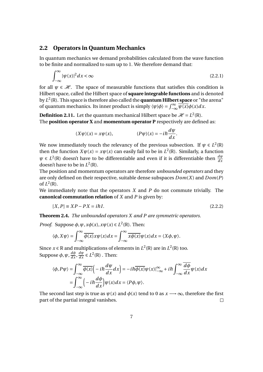#### <span id="page-9-0"></span>**2.2 Operators in Quantum Mechanics**

In quantum mechanics we demand probabilities calculated from the wave function to be finite and normalized to sum up to 1. We therefore demand that:

$$
\int_{-\infty}^{\infty} |\psi(x)|^2 dx < \infty
$$
\n(2.2.1)

for all  $\psi \in \mathcal{H}$ . The space of measurable functions that satisfies this condition is Hilbert space, called the Hilbert space of **square integrable functions** and is denoted by *L* 2 (R). This space is therefore also called the **quantum Hilbert space** or "the arena" of quantum mechanics. Its inner product is simply  $\langle \psi | \phi \rangle = \int_{-\infty}^{\infty} \overline{\psi(x)} \phi(x) dx$ .

**Definition 2.11.** Let the quantum mechanical Hilbert space be  $\mathcal{H} = L^2(\mathbb{R})$ . The **position operator X** and **momentum operator P** respectively are defined as:

$$
(X\psi)(x) = x\psi(x), \qquad (P\psi)(x) = -i\hbar \frac{d\psi}{dx}.
$$

We now immediately touch the relevancy of the previous subsection. If  $\psi \in L^2(\mathbb{R})$ then the function  $X\psi(x) = x\psi(x)$  can easily fail to be in  $L^2(\mathbb{R})$ . Similarly, a function  $\psi \in L^2(\mathbb{R})$  doesn't have to be differentiable and even if it is differentiable then  $\frac{d\psi}{dx}$ doesn't have to be in  $L^2(\mathbb{R})$ .

The position and momentum operators are therefore *unbounded operators* and they are only defined on their respective, suitable dense subspaces *Dom*(*X*) and *Dom*(*P*) of  $L^2(\mathbb{R})$ .

We immediately note that the operators *X* and *P* do not commute trivially. The **canonical commutation relation** of *X* and *P* is given by:

$$
[X,P] \equiv XP - PX = i\hbar I. \tag{2.2.2}
$$

**Theorem 2.4.** *The unbounded operators X and P are symmetric operators.*

*Proof.* Suppose  $\phi$ ,  $\psi$ ,  $x\phi(x)$ ,  $x\psi(x) \in L^2(\mathbb{R})$ . Then:

$$
\langle \phi, X\psi \rangle = \int_{-\infty}^{\infty} \overline{\phi(x)} x \psi(x) dx = \int_{-\infty}^{\infty} \overline{x \phi(x)} \psi(x) dx = \langle X\phi, \psi \rangle.
$$

Since  $x \in \mathbb{R}$  and multiplications of elements in  $L^2(\mathbb{R})$  are in  $L^2(\mathbb{R})$  too. Suppose  $\phi$ ,  $\psi$ ,  $\frac{d\phi}{dx}$ ,  $\frac{d\psi}{dx}$   $\in L^2(\mathbb{R})$  . Then:

$$
\langle \phi, P\psi \rangle = \int_{-\infty}^{\infty} \overline{\phi(x)} \Big( -i\hbar \frac{d\psi}{dx} dx \Big) = -i\hbar \overline{\phi(x)} \psi(x) \Big|_{-\infty}^{\infty} + i\hbar \int_{-\infty}^{\infty} \overline{\frac{d\phi}{dx}} \psi(x) dx
$$

$$
= \int_{-\infty}^{\infty} \Big( -i\hbar \frac{d\phi}{dx} \Big) \psi(x) dx = \langle P\phi, \psi \rangle.
$$

The second last step is true as  $\psi(x)$  and  $\phi(x)$  tend to 0 as  $x \rightarrow \infty$ , therefore the first part of the partial integral vanishes.  $\Box$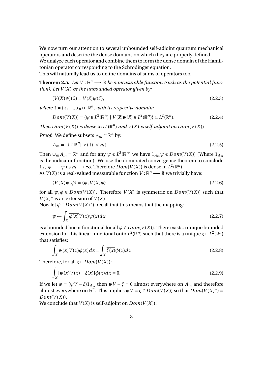We now turn our attention to several unbounded self-adjoint quantum mechanical operators and describe the dense domains on which they are properly defined. We analyze each operator and combine them to form the dense domain of the Hamiltonian operator corresponding to the Schrödinger equation.

This will naturally lead us to define domains of sums of operators too.

**Theorem 2.5.** Let  $V : \mathbb{R}^n \longrightarrow \mathbb{R}$  be a measurable function (such as the potential func*tion). Let*  $V(X)$  *be the unbounded operator given by:* 

$$
[V(X)\psi](\vec{x}) = V(\vec{x})\psi(\vec{x}),\tag{2.2.3}
$$

*where*  $\vec{x} = (x_1, ..., x_n) \in \mathbb{R}^n$ , *with its respective domain:* 

$$
Dom(V(X)) = \{ \psi \in L^{2}(\mathbb{R}^{n}) \mid V(\vec{x})\psi(\vec{x}) \in L^{2}(\mathbb{R}^{n}) \} \subseteq L^{2}(\mathbb{R}^{n}).
$$
\n(2.2.4)

*Then*  $Dom(V(X))$  *is dense in*  $L^2(\mathbb{R}^n)$  *and*  $V(X)$  *is self-adjoint on*  $Dom(V(X))$ 

*Proof.* We define subsets  $A_m \subseteq \mathbb{R}^n$  by:

$$
A_m = \{ \vec{x} \in \mathbb{R}^n \mid |V(\vec{x})| < m \} \tag{2.2.5}
$$

Then  $\cup_m A_m = \mathbb{R}^n$  and for any  $\psi \in L^2(\mathbb{R}^n)$  we have  $1_{A_m}\psi \in Dom(V(X))$  (Where  $1_{A_m}$ is the indicator function). We use the dominated convergence theorem to conclude  $1_{A_m}\psi$  →  $\psi$  as  $m \rightarrow \infty$ . Therefore *Dom*(*V*(*X*)) is dense in  $L^2(\mathbb{R}^n)$ .

As  $V(X)$  is a real-valued measurable function  $V : \mathbb{R}^n \longrightarrow \mathbb{R}$  we trivially have:

$$
\langle V(X)\psi,\phi\rangle = \langle \psi, V(X)\phi\rangle
$$
\n(2.2.6)

for all  $\psi, \phi \in Dom(V(X))$ . Therefore  $V(X)$  is symmetric on  $Dom(V(X))$  such that  $V(X)^*$  is an extension of  $V(X)$ .

Now let  $\phi \in Dom(V(X)^*)$ , recall that this means that the mapping:

$$
\psi \mapsto \int_{X} \overline{\phi(x)} V(x) \psi(x) dx \tag{2.2.7}
$$

is a bounded linear functional for all  $\psi \in Dom(V(X))$ . There exists a unique bounded extension for this linear functional onto  $L^2(\mathbb{R}^n)$  such that there is a unique  $\xi \in L^2(\mathbb{R}^n)$ that satisfies:

$$
\int_{X} \overline{\psi(x)} V(x) \phi(x) dx = \int_{X} \overline{\xi(x)} \phi(x) dx.
$$
\n(2.2.8)

Therefore, for all  $\xi \in Dom(V(X))$ :

$$
\int_{X} \left[ \overline{\psi(x)} V(x) - \overline{\xi(x)} \right] \phi(x) dx = 0. \tag{2.2.9}
$$

If we let  $\phi = (\psi V - \xi)1_{A_m}$  then  $\psi V - \xi = 0$  almost everywhere on  $A_m$  and therefore almost everywhere on  $\mathbb{R}^n$ . This implies  $\psi V = \xi \in Dom(V(X))$  so that  $Dom(V(X)^*)$  =  $Dom(V(X)).$ 

We conclude that  $V(X)$  is self-adjoint on  $Dom(V(X))$ .

 $\Box$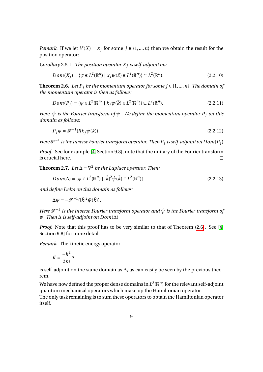*Remark.* If we let  $V(X) = x_j$  for some  $j \in \{1, ..., n\}$  then we obtain the result for the position operator:

*Corollary* 2.5.1*. The position operator X<sup>j</sup> is self-adjoint on:*

$$
Dom(X_j) = \{ \psi \in L^2(\mathbb{R}^n) \mid x_j \psi(\vec{x}) \in L^2(\mathbb{R}^n) \} \subseteq L^2(\mathbb{R}^n). \tag{2.2.10}
$$

<span id="page-11-0"></span>**Theorem 2.6.** *Let*  $P_i$  *be the momentum operator for some*  $j \in \{1, ..., n\}$ *. The domain of the momentum operator is then as follows:*

$$
Dom(P_j) = \{ \psi \in L^2(\mathbb{R}^n) \mid k_j \hat{\psi}(\vec{k}) \in L^2(\mathbb{R}^n) \} \subseteq L^2(\mathbb{R}^n). \tag{2.2.11}
$$

*Here, ψ*ˆ *is the Fourier transform of ψ. We define the momentum operator P<sup>j</sup> on this domain as follows:*

$$
P_j \psi = \mathcal{F}^{-1}(\hbar k_j \hat{\psi}(\vec{k})). \tag{2.2.12}
$$

*Here*  $\mathcal{F}^{-1}$  is the inverse Fourier transform operator. Then  $P_j$  is self-adjoint on  $Dom(P_j)$ .

*Proof.* See for example [\[4,](#page-37-3) Section 9.8], note that the unitary of the Fourier transform is crucial here.  $\Box$ 

**Theorem 2.7.** *Let*  $\Delta = \nabla^2$  *be the Laplace operator. Then:* 

$$
Dom(\Delta) = \{ \psi \in L^{2}(\mathbb{R}^{n}) \mid |\vec{k}|^{2} \hat{\psi}(\vec{k}) \in L^{2}(\mathbb{R}^{n}) \}
$$
\n(2.2.13)

*and define Delta on this domain as follows:*

$$
\Delta \psi = -\mathscr{F}^{-1}(|\vec{k}|^2 \hat{\psi}(\vec{k})).
$$

*Here*  $\mathcal{F}^{-1}$  *is the inverse Fourier transform operator and*  $\hat{\psi}$  *is the Fourier transform of ψ. Then* ∆ *is self-adjoint on Dom*(∆)

*Proof.* Note that this proof has to be very similar to that of Theorem [\(2.6\)](#page-11-0). See [\[4,](#page-37-3) Section 9.8] for more detail.  $\Box$ 

*Remark.* The kinetic energy operator

$$
\hat{K} = \frac{-\hbar^2}{2m} \Delta
$$

is self-adjoint on the same domain as ∆, as can easily be seen by the previous theorem.

We have now defined the proper dense domains in  $L^2(\mathbb{R}^n)$  for the relevant self-adjoint quantum mechanical operators which make up the Hamiltonian operator.

The only task remaining is to sum these operators to obtain the Hamiltonian operator itself.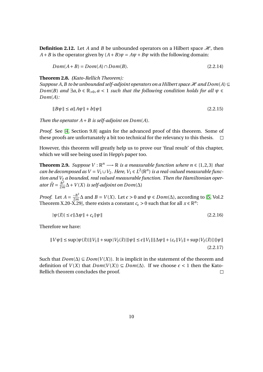**Definition 2.12.** Let *A* and *B* be unbounded operators on a Hilbert space  $\mathcal{H}$ , then *A* + *B* is the operator given by  $(A + B)\psi = A\psi + B\psi$  with the following domain:

$$
Dom(A+B) = Dom(A) \cap Dom(B). \tag{2.2.14}
$$

**Theorem 2.8.** *(Kato-Rellich Theorem):*

*Suppose A, B* to be unbounded self-adjoint operators on a Hilbert space  $\mathcal H$  and  $Dom(A) \subseteq$ *Dom*(*B*) *and*  $\exists a, b \in \mathbb{R}_{>0}$ ,  $a < 1$  *such that the following condition holds for all*  $\psi \in$ *Dom*(*A*)*:*

$$
||B\psi|| \le a||A\psi|| + b||\psi|| \tag{2.2.15}
$$

*Then the operator*  $A + B$  *is self-adjoint on Dom(A).* 

*Proof.* See [\[4,](#page-37-3) Section 9.8] again for the advanced proof of this theorem. Some of these proofs are unfortunately a bit too technical for the relevancy to this thesis.  $\Box$ 

However, this theorem will greatly help us to prove our 'final result' of this chapter, which we will see being used in Hepp's paper too.

**Theorem 2.9.** *Suppose*  $V : \mathbb{R}^n \longrightarrow \mathbb{R}$  *is a measurable function where*  $n \in \{1,2,3\}$  *that can be decomposed as*  $V = V_1 \cup V_2$ . Here,  $V_1 \in L^2(\mathbb{R}^n)$  *is a real-valued measurable function and V*<sup>2</sup> *a bounded, real valued measurable function. Then the Hamiltonian operator*  $\hat{H} = \frac{\hbar^2}{2n}$  $\frac{\hbar^2}{2m}\Delta$  + *V*(*X*) *is self-adjoint on Dom*( $\Delta$ )

*Proof.* Let  $A = \frac{-\hbar^2}{2m}$  $\frac{-\hbar^2}{2m}$ Δ and *B* = *V*(*X*). Let *ε* > 0 and  $\psi$  ∈ *Dom*(Δ), according to [\[5,](#page-37-4) Vol.2 Theorem X.20-X.29], there exists a constant  $c_{\epsilon} > 0$  such that for all  $x \in \mathbb{R}^n$ :

$$
|\psi(\vec{x})| \le \epsilon \|\Delta \psi\| + c_{\epsilon} \|\psi\| \tag{2.2.16}
$$

Therefore we have:

$$
||V\psi|| \le \sup |\psi(\vec{x})| ||V_1|| + \sup |V_2(\vec{x})| ||\psi|| \le \epsilon ||V_1|| ||\Delta \psi|| + (c_{\epsilon} ||V_1|| + \sup |V_2(\vec{x})|) ||\psi||
$$
\n(2.2.17)

Such that  $Dom(\Delta) ⊆ Dom(V(X))$ . It is implicit in the statement of the theorem and definition of *V*(*X*) that *Dom*(*V*(*X*)) ⊆ *Dom*( $\Delta$ ). If we choose  $\epsilon$  < 1 then the Kato-Rellich theorem concludes the proof.  $\Box$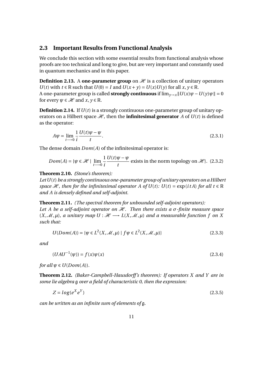#### <span id="page-13-0"></span>**2.3 Important Results from Functional Analysis**

We conclude this section with some essential results from functional analysis whose proofs are too technical and long to give, but are very important and constantly used in quantum mechanics and in this paper.

**Definition 2.13.** A **one-parameter group** on  $\mathcal{H}$  is a collection of unitary operators *U*(*t*) with  $t \in \mathbb{R}$  such that  $U(0) = I$  and  $U(x + y) = U(x)U(y)$  for all  $x, y \in \mathbb{R}$ . A one-parameter group is called **strongly continuous** if  $\lim_{y\to x} ||U(x)\psi - U(y)\psi|| = 0$ for every  $\psi \in \mathcal{H}$  and  $x, y \in \mathbb{R}$ .

**Definition 2.14.** If *U*(*t*) is a strongly continuous one-parameter group of unitary operators on a Hilbert space  $\mathcal{H}$ , then the **infinitesimal generator** *A* of  $U(t)$  is defined as the operator:

$$
A\psi = \lim_{t \to 0} \frac{1}{i} \frac{U(t)\psi - \psi}{t}.
$$
\n(2.3.1)

The dense domain *Dom*(*A*) of the infinitesimal operator is:

$$
Dom(A) = \{ \psi \in \mathcal{H} \mid \lim_{t \to 0} \frac{1}{t} \frac{U(t)\psi - \psi}{t} \text{ exists in the norm topology on } \mathcal{H} \}. \tag{2.3.2}
$$

#### **Theorem 2.10.** *(Stone's theorem):*

*LetU*(*t*) *be a strongly continuous one-parameter group of unitary operators on a Hilbert space*  $\mathcal{H}$ *, then for the infinitesimal operator A of U(t): U(t)* = exp(*itA*) *for all*  $t \in \mathbb{R}$ *and A is densely defined and self-adjoint.*

#### **Theorem 2.11.** *(The spectral theorem for unbounded self-adjoint operators):*

*Let A be a self-adjoint operator on*  $H$ *. Then there exists a*  $\sigma$ *-finite measure space*  $(X, \mathcal{M}, \mu)$ *, a unitary map*  $U : \mathcal{H} \longrightarrow L(X, \mathcal{M}, \mu)$  *and a measurable function f on* X *such that:*

$$
U(Dom(A)) = \{ \psi \in L^{2}(X, \mathcal{M}, \mu) \mid f\psi \in L^{2}(X, \mathcal{M}, \mu) \}
$$
\n(2.3.3)

*and*

$$
(UAU^{-1}(\psi)) = f(x)\psi(x)
$$
\n(2.3.4)

*for all*  $\psi \in U(Dom(A)).$ 

**Theorem 2.12.** *(Baker-Campbell-Hausdorff 's theorem): If operators X and Y are in some lie algebra* g *over a field of characteristic 0, then the expression:*

$$
Z = log(e^X e^Y) \tag{2.3.5}
$$

*can be written as an infinite sum of elements of* g*.*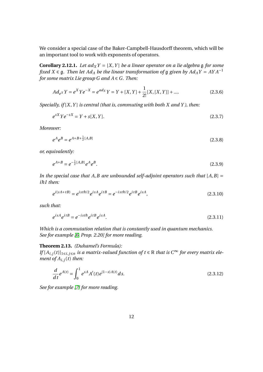We consider a special case of the Baker-Campbell-Hausdorff theorem, which will be an important tool to work with exponents of operators.

**Corollary 2.12.1.** Let  $ad_XY = [X, Y]$  be a linear operator on a lie algebra g for some *fixed*  $X \in \mathfrak{g}$ *. Then let*  $Ad_A$  *be the linear transformation of*  $\mathfrak{g}$  *given by*  $Ad_A Y = AYA^{-1}$ *for some matrix Lie group G and A ∈ G. Then:* 

<span id="page-14-1"></span>
$$
Ad_{e^X}Y = e^X Y e^{-X} = e^{ad_X}Y = Y + [X, Y] + \frac{1}{2!}[X, [X, Y]] + \dots
$$
\n(2.3.6)

*Specially, if* [*X*,*Y* ] *is central (that is, commuting with both X and Y ), then:*

$$
e^{sX}Ye^{-sX} = Y + s[X, Y].
$$
\n(2.3.7)

*Moreover:*

$$
e^A e^B = e^{A+B+\frac{1}{2}[A,B]}
$$
 (2.3.8)

*or, equivalently:*

$$
e^{A+B} = e^{-\frac{1}{2}[A,B]}e^A e^B.
$$
\n(2.3.9)

*In the special case that*  $A$ ,  $B$  are unbounded self-adjoint operators such that  $[A, B] =$ *i*ħ*I then:*

<span id="page-14-0"></span>
$$
e^{i(sA+tB)} = e^{ist\hbar/2}e^{isA}e^{itB} = e^{-ist\hbar/2}e^{itB}e^{isA},
$$
\n(2.3.10)

*such that:*

$$
e^{isA}e^{itB} = e^{-ist\hbar}e^{itB}e^{isA}.\tag{2.3.11}
$$

*Which is a commutation relation that is constantly used in quantum mechanics. See for example [\[6,](#page-37-5) Prop. 2.20] for more reading.*

#### **Theorem 2.13.** *(Duhamel's Formula):*

*If*  $[A_{i,j}(t)]_{1\leq i,j\leq n}$  *is a matrix-valued function of*  $t \in \mathbb{R}$  *that is*  $C^{\infty}$  *for every matrix element of*  $A_{i,j}(t)$  *then:* 

<span id="page-14-2"></span>
$$
\frac{d}{dt}e^{A(t)} = \int_0^1 e^{sA} A'(t)e^{(1-s)A(t)} ds.
$$
\n(2.3.12)

*See for example [\[7\]](#page-37-6) for more reading.*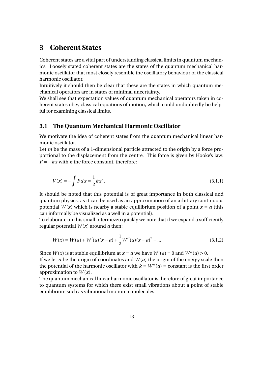## <span id="page-15-0"></span>**3 Coherent States**

Coherent states are a vital part of understanding classical limits in quantum mechanics. Loosely stated coherent states are the states of the quantum mechanical harmonic oscillator that most closely resemble the oscillatory behaviour of the classical harmonic oscillator.

Intuitively it should then be clear that these are the states in which quantum mechanical operators are in states of minimal uncertainty.

We shall see that expectation values of quantum mechanical operators taken in coherent states obey classical equations of motion, which could undoubtedly be helpful for examining classical limits.

#### <span id="page-15-1"></span>**3.1 The Quantum Mechanical Harmonic Oscillator**

We motivate the idea of coherent states from the quantum mechanical linear harmonic oscillator.

Let *m* be the mass of a 1-dimensional particle attracted to the origin by a force proportional to the displacement from the centre. This force is given by Hooke's law:  $F = -kx$  with  $k$  the force constant, therefore:

$$
V(x) = -\int F dx = \frac{1}{2}kx^2.
$$
 (3.1.1)

It should be noted that this potential is of great importance in both classical and quantum physics, as it can be used as an approximation of an arbitrary continuous potential  $W(x)$  which is nearby a stable equilibrium position of a point  $x = a$  (this can informally be visualized as a well in a potential).

To elaborate on this small intermezzo quickly we note that if we expand a sufficiently regular potential  $W(x)$  around  $a$  then:

$$
W(x) = W(a) + W'(a)(x - a) + \frac{1}{2}W''(a)(x - a)^{2} + \dots
$$
\n(3.1.2)

Since  $W(x)$  is at stable equilibrium at  $x = a$  we have  $W'(a) = 0$  and  $W''(a) > 0$ .

If we let *a* be the origin of coordinates and  $W(a)$  the origin of the energy scale then the potential of the harmonic oscillator with  $k = W''(a) =$  constant is the first order approximation to  $W(x)$ .

The quantum mechanical linear harmonic oscillator is therefore of great importance to quantum systems for which there exist small vibrations about a point of stable equilibrium such as vibrational motion in molecules.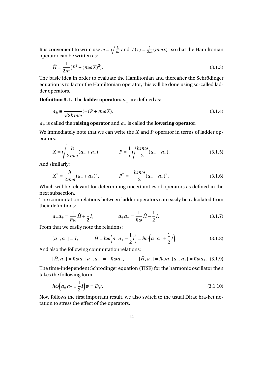It is convenient to write use  $\omega = \sqrt{\frac{k}{n}}$  $\frac{k}{m}$  and  $V(x) = \frac{1}{2r}$  $\frac{1}{2m}(m\omega x)^2$  so that the Hamiltonian operator can be written as:

$$
\hat{H} = \frac{1}{2m} [P^2 + (m\omega X)^2].
$$
\n(3.1.3)

The basic idea in order to evaluate the Hamiltonian and thereafter the Schrödinger equation is to factor the Hamiltonian operator, this will be done using so-called ladder operators.

**Definition 3.1.** The **ladder operators**  $a_{\pm}$  are defined as:

$$
a_{\pm} \equiv \frac{1}{\sqrt{2\hbar m\omega}} (\mp i P + m\omega X). \tag{3.1.4}
$$

*a*+ is called the **raising operator** and *a*− is called the **lowering operator**.

We immediately note that we can write the *X* and *P* operator in terms of ladder operators:

$$
X = \sqrt{\frac{\hbar}{2m\omega}}(a_{-} + a_{+}), \qquad P = \frac{1}{i}\sqrt{\frac{\hbar m\omega}{2}}(a_{-} - a_{+}). \qquad (3.1.5)
$$

And similarly:

$$
X^{2} = \frac{\hbar}{2m\omega}(a_{-} + a_{+})^{2}, \qquad P^{2} = -\frac{\hbar m\omega}{2}(a_{-} - a_{+})^{2}.
$$
 (3.1.6)

Which will be relevant for determining uncertainties of operators as defined in the next subsection.

The commutation relations between ladder operators can easily be calculated from their definitions:

$$
a_{-}a_{+} = \frac{1}{\hbar\omega}\hat{H} + \frac{1}{2}I, \qquad a_{+}a_{-} = \frac{1}{\hbar\omega}\hat{H} - \frac{1}{2}I. \tag{3.1.7}
$$

From that we easily note the relations:

$$
[a_-, a_+] = I, \qquad \hat{H} = \hbar \omega \Big( a_- a_+ - \frac{1}{2} I \Big) = \hbar \omega \Big( a_+ a_- + \frac{1}{2} I \Big). \tag{3.1.8}
$$

And also the following commutation relations:

$$
[\hat{H}, a_{-}] = \hbar \omega a_{-}[a_{+}, a_{-}] = -\hbar \omega a_{-}, \qquad [\hat{H}, a_{+}] = \hbar \omega a_{+}[a_{-}, a_{+}] = \hbar \omega a_{+}. \tag{3.1.9}
$$

The time-independent Schrödinger equation (TISE) for the harmonic oscillator then takes the following form:

$$
\hbar\omega\Big(a_{\pm}a_{\mp}\pm\frac{1}{2}I\Big)\psi=E\psi.\tag{3.1.10}
$$

Now follows the first important result, we also switch to the usual Dirac bra-ket notation to stress the effect of the operators.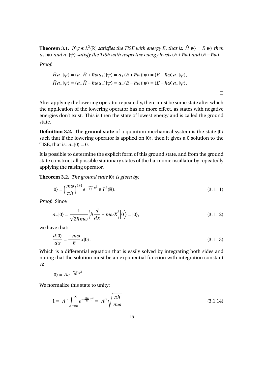**Theorem 3.1.** *If*  $\psi \in L^2(\mathbb{R})$  *satisfies the TISE with energy E, that is:*  $\hat{H}|\psi\rangle = E|\psi\rangle$  *then*  $a_+|\psi\rangle$  *and*  $a_-|\psi\rangle$  *satisfy the TISE with respective energy levels* ( $E + \hbar \omega$ ) *and* ( $E - \hbar \omega$ )*.* 

*Proof.*

$$
\hat{H}a_+|\psi\rangle = (a_+\hat{H} + \hbar\omega a_+)|\psi\rangle = a_+(E + \hbar\omega)|\psi\rangle = (E + \hbar\omega)a_+|\psi\rangle,
$$
  

$$
\hat{H}a_-|\psi\rangle = (a_-\hat{H} - \hbar\omega a_-)|\psi\rangle = a_-(E - \hbar\omega)|\psi\rangle = (E + \hbar\omega)a_-|\psi\rangle.
$$

After applying the lowering operator repeatedly, there must be some state after which the application of the lowering operator has no more effect, as states with negative energies don't exist. This is then the state of lowest energy and is called the ground state.

 $\Box$ 

**Definition 3.2.** The **ground state** of a quantum mechanical system is the state |0〉 such that if the lowering operator is applied on  $|0\rangle$ , then it gives a 0 solution to the TISE, that is:  $a_{-}|0\rangle = 0$ .

It is possible to determine the explicit form of this ground state, and from the ground state construct all possible stationary states of the harmonic oscillator by repeatedly applying the raising operator.

**Theorem 3.2.** *The ground state* |0〉 *is given by:*

$$
|0\rangle = \left(\frac{m\omega}{\pi\hbar}\right)^{1/4} e^{-\frac{m\omega}{2\hbar}x^2} \in L^2(\mathbb{R}).\tag{3.1.11}
$$

*Proof.* Since

$$
a_{-}|0\rangle = \frac{1}{\sqrt{2\hbar m\omega}} \Big(\hbar \frac{d}{dx} + m\omega X\Big)|0\rangle = |0\rangle,
$$
\n(3.1.12)

we have that:

$$
\frac{d|0\rangle}{dx} = \frac{-m\omega}{\hbar}x|0\rangle.
$$
\n(3.1.13)

Which is a differential equation that is easily solved by integrating both sides and noting that the solution must be an exponential function with integration constant *A*:

$$
|0\rangle = Ae^{-\frac{m\omega}{2\hbar}x^2}.
$$

We normalize this state to unity:

$$
1 = |A|^2 \int_{-\infty}^{\infty} e^{-\frac{m\omega}{\hbar}x^2} = |A|^2 \sqrt{\frac{\pi\hbar}{m\omega}}
$$
 (3.1.14)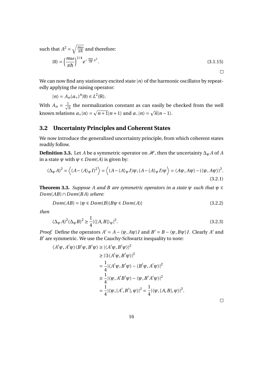such that  $A^2 = \sqrt{\frac{m\omega}{\pi\hbar}}$  $\frac{m\omega}{\pi\hbar}$  and therefore:

$$
|0\rangle = \left(\frac{m\omega}{\pi\hbar}\right)^{1/4} e^{-\frac{m\omega}{2\hbar}x^2}.
$$
\n(3.1.15)

We can now find any stationary excited state  $|n\rangle$  of the harmonic oscillator by repeatedly applying the raising operator:

 $|n\rangle = A_n(a_+)^n |0\rangle \in L^2(\mathbb{R}).$ 

With  $A_n = \frac{1}{\sqrt{n}}$  $\frac{1}{n}$  the normalization constant as can easily be checked from the well known relations  $a_+|n\rangle = \sqrt{n+1}|n+1\rangle$  and  $a_-|n\rangle = \sqrt{n}|n-1\rangle$ .

#### <span id="page-18-0"></span>**3.2 Uncertainty Principles and Coherent States**

We now introduce the generalized uncertainty principle, from which coherent states readily follow.

**Definition 3.3.** Let *A* be a symmetric operator on  $\mathcal{H}$ , then the uncertainty  $\Delta_{\psi} A$  of *A* in a state  $\psi$  with  $\psi \in Dom(A)$  is given by:

$$
(\Delta_{\psi} A)^2 = \langle (A - \langle A \rangle_{\psi} I)^2 \rangle = \langle (A - \langle A \rangle_{\psi} I) \psi, (A - \langle A \rangle_{\psi} I) \psi \rangle = \langle A \psi, A \psi \rangle - (\langle \psi, A \psi \rangle)^2.
$$
\n(3.2.1)

**Theorem 3.3.** *Suppose A and B are symmetric operators in a state*  $\psi$  *such that*  $\psi \in$ *Dom*(*AB*)∩*Dom*(*B A*) *where:*

$$
Dom(AB) = \{ \psi \in Dom(B) | B\psi \in Dom(A) \}
$$
\n
$$
(3.2.2)
$$

*then*

$$
(\Delta_{\psi}A)^2(\Delta_{\psi}B)^2 \ge \frac{1}{4}|\langle [A,B]\rangle_{\psi}|^2.
$$
\n(3.2.3)

*Proof.* Define the operators  $A' = A - \langle \psi, A\psi \rangle I$  and  $B' = B - \langle \psi, B\psi \rangle I$ . Clearly A' and B' are symmetric. We use the Cauchy-Schwartz inequality to note:

$$
\langle A'\psi, A'\psi \rangle \langle B'\psi, B'\psi \rangle \ge |\langle A'\psi, B'\psi \rangle|^2
$$
  
\n
$$
\ge |\Im \langle A'\psi, B'\psi \rangle|^2
$$
  
\n
$$
= \frac{1}{4} |\langle A'\psi, B'\psi \rangle - \langle B'\psi, A'\psi \rangle|^2
$$
  
\n
$$
\ge \frac{1}{4} |\langle \psi, A'B'\psi \rangle - \langle \psi, B'A'\psi \rangle|^2
$$
  
\n
$$
= \frac{1}{4} |\langle \psi, [A', B'], \psi \rangle|^2 = \frac{1}{4} |\langle \psi, [A, B], \psi \rangle|^2.
$$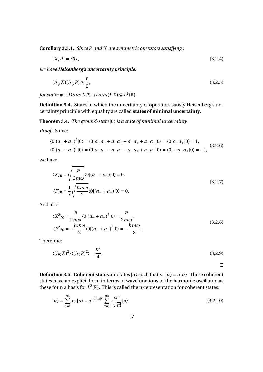**Corollary 3.3.1.** *Since P and X are symmetric operators satisfying :*

$$
[X,P] = i\hbar I,\tag{3.2.4}
$$

*we have Heisenberg's uncertainty principle:*

$$
(\Delta_{\psi} X)(\Delta_{\psi} P) \ge \frac{\hbar}{2},\tag{3.2.5}
$$

*for states*  $\psi \in Dom(XP) \cap Dom(PX) \subseteq L^2(\mathbb{R})$ *.* 

**Definition 3.4.** States in which the uncertainty of operators satisfy Heisenberg's uncertainty principle with equality are called **states of minimal uncertainty**.

**Theorem 3.4.** *The ground-state* |0〉 *is a state of minimal uncertainty.*

*Proof.* Since:

$$
\langle 0|(a_{-}+a_{+})^{2}|0\rangle = \langle 0|a_{-}a_{-}+a_{-}a_{+}+a_{-}a_{+}+a_{+}a_{+}|0\rangle = \langle 0|a_{-}a_{+}|0\rangle = 1,
$$
  

$$
\langle 0|(a_{-}-a_{+})^{2}|0\rangle = \langle 0|a_{-}a_{-}-a_{-}a_{+}-a_{-}a_{+}+a_{+}a_{+}|0\rangle = \langle 0|-a_{-}a_{+}|0\rangle = -1,
$$
 (3.2.6)

we have:

$$
\langle X \rangle_0 = \sqrt{\frac{\hbar}{2m\omega}} \langle 0 | (a_- + a_+) | 0 \rangle = 0,
$$
  
\n
$$
\langle P \rangle_0 = \frac{1}{i} \sqrt{\frac{\hbar m\omega}{2}} \langle 0 | (a_- + a_+) | 0 \rangle = 0.
$$
\n(3.2.7)

And also:

$$
\langle X^2 \rangle_0 = \frac{\hbar}{2m\omega} \langle 0 | (a_- + a_+)^2 | 0 \rangle = \frac{\hbar}{2m\omega},
$$
  

$$
\langle P^2 \rangle_0 = -\frac{\hbar m\omega}{2} \langle 0 | (a_- + a_+)^2 | 0 \rangle = -\frac{\hbar m\omega}{2}.
$$
 (3.2.8)

Therefore:

$$
\langle (\Delta_0 X)^2 \rangle \langle (\Delta_0 P)^2 \rangle = \frac{\hbar^2}{4}.
$$
\n(3.2.9)

 $\Box$ 

**Definition 3.5.** Coherent states are states  $|\alpha\rangle$  such that  $a_{-}|\alpha\rangle = \alpha|\alpha\rangle$ . These coherent states have an explicit form in terms of wavefunctions of the harmonic oscillator, as these form a basis for  $L^2(\mathbb{R})$ . This is called the n-representation for coherent states:

$$
|\alpha\rangle = \sum_{n=0}^{\infty} c_n |n\rangle = e^{-\frac{1}{2}|\alpha|^2} \sum_{n=0}^{\infty} \frac{\alpha^n}{\sqrt{n!}} |n\rangle
$$
 (3.2.10)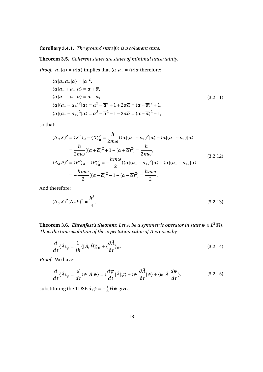#### **Corollary 3.4.1.** *The ground state* |0〉 *is a coherent state.*

#### **Theorem 3.5.** *Coherent states are states of minimal uncertainty.*

*Proof.*  $a_{-}|\alpha\rangle = \alpha|\alpha\rangle$  implies that  $\langle \alpha|a_{+} = \langle \alpha|\overline{\alpha}$  therefore:

$$
\langle \alpha | a_{-} a_{+} | \alpha \rangle = |\alpha|^{2},
$$
  
\n
$$
\langle \alpha | a_{-} + a_{+} | \alpha \rangle = \alpha + \overline{\alpha},
$$
  
\n
$$
\langle \alpha | a_{-} - a_{+} | \alpha \rangle = \alpha - \overline{\alpha},
$$
  
\n
$$
\langle \alpha | (a_{-} + a_{+})^{2} | \alpha \rangle = \alpha^{2} + \overline{\alpha}^{2} + 1 + 2\alpha \overline{\alpha} = (\alpha + \overline{\alpha})^{2} + 1,
$$
  
\n
$$
\langle \alpha | (a_{-} - a_{+})^{2} | \alpha \rangle = \alpha^{2} + \overline{\alpha}^{2} - 1 - 2\alpha \overline{\alpha} = (\alpha - \overline{\alpha})^{2} - 1,
$$
\n(3.2.11)

so that:

$$
(\Delta_{\alpha} X)^2 = \langle X^2 \rangle_{\alpha} - \langle X \rangle_{\alpha}^2 = \frac{\hbar}{2m\omega} (\langle \alpha | (a_- + a_+)^2 | \alpha \rangle - \langle \alpha | (a_- + a_+) | \alpha \rangle
$$
  
\n
$$
= \frac{\hbar}{2m\omega} [(\alpha + \overline{\alpha})^2 + 1 - (\alpha + \overline{\alpha})^2] = \frac{\hbar}{2m\omega},
$$
  
\n
$$
(\Delta_{\alpha} P)^2 = \langle P^2 \rangle_{\alpha} - \langle P \rangle_{\alpha}^2 = -\frac{\hbar m\omega}{2} (\langle \alpha | (a_- - a_+)^2 | \alpha \rangle - \langle \alpha | (a_- - a_+) | \alpha \rangle)
$$
  
\n
$$
= -\frac{\hbar m\omega}{2} [(\alpha - \overline{\alpha})^2 - 1 - (\alpha - \overline{\alpha})^2] = \frac{\hbar m\omega}{2}.
$$
  
\n(3.2.12)

And therefore:

$$
(\Delta_{\alpha}X)^2(\Delta_{\alpha}P)^2 = \frac{\hbar^2}{4}.
$$
\n(3.2.13)

 $\Box$ 

**Theorem 3.6.** Ehrenfest's theorem: Let A be a symmetric operator in state  $\psi \in L^2(\mathbb{R})$ . *Then the time evolution of the expectation value of A is given by:*

$$
\frac{d}{dt}\langle \hat{A}\rangle_{\psi} = \frac{1}{i\hbar}\langle [\hat{A},\hat{H}]\rangle_{\psi} + \langle \frac{\partial \hat{A}}{\partial t}\rangle_{\psi}.
$$
\n(3.2.14)

*Proof.* We have:

$$
\frac{d}{dt}\langle \hat{A}\rangle_{\psi} = \frac{d}{dt}\langle \psi|\hat{A}|\psi\rangle = \langle \frac{d\psi}{dt}|\hat{A}|\psi\rangle + \langle \psi|\frac{\partial \hat{A}}{\partial t}|\psi\rangle + \langle \psi|\hat{A}|\frac{d\psi}{dt}\rangle.
$$
(3.2.15)

substituting the TDSE  $\partial_t \psi = -\frac{i}{\hbar} \hat{H} \psi$  gives: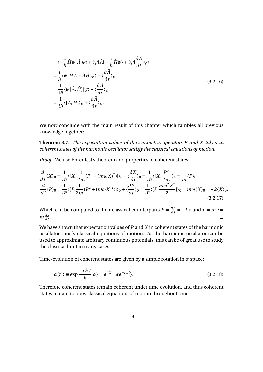$$
= \langle -\frac{i}{\hbar} \hat{H}\psi | \hat{A} | \psi \rangle + \langle \psi | \hat{A} | -\frac{i}{\hbar} \hat{H}\psi \rangle + \langle \psi | \frac{\partial \hat{A}}{\partial t} | \psi \rangle
$$
  
\n
$$
= \frac{i}{\hbar} \langle \psi | \hat{H} \hat{A} - \hat{A} \hat{H} | \psi \rangle + \langle \frac{\partial \hat{A}}{\partial t} \rangle_{\psi}
$$
  
\n
$$
= \frac{1}{i\hbar} \langle \psi | \hat{A}, \hat{H} | \psi \rangle + \langle \frac{\partial \hat{A}}{\partial t} \rangle_{\psi}
$$
  
\n
$$
= \frac{1}{i\hbar} \langle [\hat{A}, \hat{H}] \rangle_{\psi} + \langle \frac{\partial \hat{A}}{\partial t} \rangle_{\psi}.
$$
  
\n(3.2.16)

 $\Box$ 

We now conclude with the main result of this chapter which rambles all previous knowledge together:

**Theorem 3.7.** *The expectation values of the symmetric operators P and X taken in coherent states of the harmonic oscillator satisfy the classical equations of motion.*

*Proof.* We use Ehrenfest's theorem and properties of coherent states:

$$
\frac{d}{dt}\langle X\rangle_0 = \frac{1}{i\hbar}\langle [X, \frac{1}{2m}(P^2 + (m\omega X)^2)]\rangle_0 + \langle \frac{\partial X}{\partial t} \rangle_0 = \frac{1}{i\hbar}\langle [X, \frac{P^2}{2m}]\rangle_0 = \frac{1}{m}\langle P\rangle_0
$$
\n
$$
\frac{d}{dt}\langle P\rangle_0 = \frac{1}{i\hbar}\langle [P, \frac{1}{2m}(P^2 + (m\omega X)^2)]\rangle_0 + \langle \frac{\partial P}{\partial t} \rangle_0 = \frac{1}{i\hbar}\langle [P, \frac{m\omega^2 X^2}{2}]\rangle_0 = m\omega\langle X\rangle_0 = -k\langle X\rangle_0.
$$
\n(3.2.17)

Which can be compared to their classical counterparts  $F = \frac{dp}{dt} = -kx$  and  $p = mv =$  $m\frac{dx}{dt}$ .  $\Box$ 

We have shown that expectation values of *P* and *X* in coherent states of the harmonic oscillator satisfy classical equations of motion. As the harmonic oscillator can be used to approximate arbitrary continuous potentials, this can be of great use to study the classical limit in many cases.

Time-evolution of coherent states are given by a simple rotation in *α* space:

$$
|\alpha(t)\rangle \equiv \exp\frac{-i\hat{H}t}{\hbar}|\alpha\rangle = e^{\frac{-i\omega t}{2}}|\alpha e^{-i\omega t}\rangle.
$$
 (3.2.18)

Therefore coherent states remain coherent under time evolution, and thus coherent states remain to obey classical equations of motion throughout time.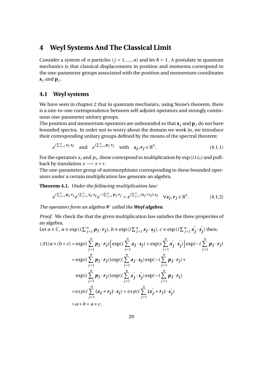## <span id="page-22-0"></span>**4 Weyl Systems And The Classical Limit**

Consider a system of *n* particles ( $j = 1, ..., n$ ) and let  $\hbar = 1$ . A postulate in quantum mechanics is that classical displacements in position and momenta correspond to the one-parameter groups associated with the position and momentum coordinates  $\mathbf{x}_j$  and  $\mathbf{p}_j$ .

#### <span id="page-22-1"></span>**4.1 Weyl systems**

We have seen in chapter 2 that in quantum mechanics, using Stone's theorem, there is a one-to-one correspondence between self-adjoint operators and strongly continuous one-parameter unitary groups.

The position and momentum operators are unbounded so that  $\mathbf{x}_i$  and  $\mathbf{p}_i$  do not have bounded spectra. In order not to worry about the domain we work in, we introduce their corresponding unitary groups defined by the means of the spectral theorem:

$$
e^{i\sum_{j=1}^{n}x_j \cdot s_j} \quad \text{and} \quad e^{i\sum_{j=1}^{n} p_j \cdot r_j} \quad \text{with} \quad s_j, r_j \in \mathbb{R}^3. \tag{4.1.1}
$$

For the operators  $x_i$  and  $p_i$ , these correspond to multiplication by  $\exp{(i\,t x_i)}$  and pullback by translation  $x \rightarrow x + r$ .

The one-parameter group of automorphisms corresponding to these bounded operators under a certain multiplication law generate an algebra.

**Theorem 4.1.** *Under the following multiplication law:*

$$
e^{i\sum_{j=1}^{n} p_j \cdot r_j} e^{i\sum_{j=1}^{n} x_j \cdot s_j} e^{-i\sum_{j=1}^{n} p_j \cdot r_j} = e^{i\sum_{j=1}^{n} (x_j + r_j) \cdot s_j} \quad \forall s_j, r_j \in \mathbb{R}^3.
$$
 (4.1.2)

*The operators form an algebra* W *called the Weyl algebra.*

*Proof.* We check the that the given multiplication law satisfies the three properties of an algebra.

Let 
$$
\alpha \in \mathbb{C}
$$
,  $a = \exp(i \sum_{j=1}^{n} p_j \cdot r_j)$ ,  $b = \exp(i \sum_{j=1}^{n} x_j \cdot s_j)$ ,  $c = \exp(i \sum_{j=1}^{n} x'_j \cdot s'_j)$  then:  
\n(A1) $a * (b + c) = \exp(i \sum_{j=1}^{n} p_j \cdot r_j) \Big( \exp(i \sum_{j=1}^{n} x_j \cdot s_j) + \exp(i \sum_{j=1}^{n} x'_j \cdot s'_j) \Big) \exp(-i \sum_{j=1}^{n} p_j \cdot r_j)$   
\n $= \exp(i \sum_{j=1}^{n} p_j \cdot r_j) (\exp(i \sum_{j=1}^{n} x_j \cdot s_j) \exp(-i \sum_{j=1}^{n} p_j \cdot r_j) + \exp(i \sum_{j=1}^{n} p_j \cdot r_j) (\exp(i \sum_{j=1}^{n} x'_j \cdot s'_j) \exp(-i \sum_{j=1}^{n} p_j \cdot r_j)$   
\n $= exp(i \sum_{j=1}^{n} (x_j + r_j) \cdot s_j) + exp(i \sum_{j=1}^{n} (x'_j + r_j) \cdot s'_j)$   
\n $= a * b + a * c$ .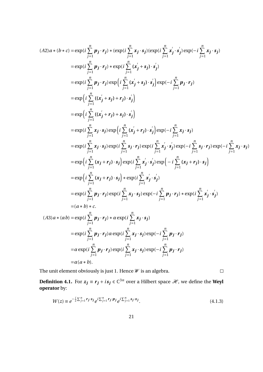$$
(A2)a * (b * c) = \exp\left(i \sum_{j=1}^{n} p_{j} \cdot r_{j}\right) * (\exp\left(i \sum_{j=1}^{n} x_{j} \cdot s_{j}\right) (\exp\left(i \sum_{j=1}^{n} x_{j} \cdot s_{j}\right) \exp\left(-i \sum_{j=1}^{n} x_{j} \cdot s_{j}\right)
$$
\n
$$
= \exp\left(i \sum_{j=1}^{n} p_{j} \cdot r_{j}\right) * \exp\left(i \sum_{j=1}^{n} (x_{j}^{'} + s_{j}) \cdot s_{j}^{'}\right)
$$
\n
$$
= \exp\left(i \sum_{j=1}^{n} p_{j} \cdot r_{j}\right) \exp\left(i \sum_{j=1}^{n} (x_{j}^{'} + s_{j}) \cdot s_{j}^{'}\right) \exp\left(-i \sum_{j=1}^{n} p_{j} \cdot r_{j}\right)
$$
\n
$$
= \exp\left(i \sum_{j=1}^{n} ((x_{j}^{'} + s_{j}) + r_{j}) \cdot s_{j}^{'}\right)
$$
\n
$$
= \exp\left(i \sum_{j=1}^{n} ((x_{j}^{'} + r_{j}) + s_{j}) \cdot s_{j}^{'}\right)
$$
\n
$$
= \exp\left(i \sum_{j=1}^{n} x_{j} \cdot s_{j}\right) \exp\left(i \sum_{j=1}^{n} (x_{j}^{'} + r_{j}) \cdot s_{j}^{'}\right) \exp\left(-i \sum_{j=1}^{n} x_{j} \cdot s_{j}\right)
$$
\n
$$
= \exp\left(i \sum_{j=1}^{n} x_{j} \cdot s_{j}\right) \exp\left(i \sum_{j=1}^{n} s_{j} \cdot r_{j}\right) \exp\left(-i \sum_{j=1}^{n} x_{j} \cdot r_{j}\right) \exp\left(-i \sum_{j=1}^{n} x_{j} \cdot r_{j}\right)
$$
\n
$$
= \exp\left(i \sum_{j=1}^{n} (x_{j} + r_{j}) \cdot s_{j}\right) \exp\left(i \sum_{j=1}^{n} x_{j}^{'} \cdot s_{j}^{'}\right)
$$
\n
$$
= \exp\left(i \sum_{j=1}^{n} (x_{j} + r_{j}) \cdot s_{j}\right) \exp\left(i \sum_{j=1}^{
$$

The unit element obviously is just 1. Hence  $\mathcal W$  is an algebra.

**Definition 4.1.** For  $z_j \equiv r_j + is_j \in \mathbb{C}^{3n}$  over a Hilbert space  $\mathcal{H}$ , we define the Weyl **operator** by:

$$
W(z) \equiv e^{-\frac{i}{2}\sum_{j=1}^{n} \mathbf{r}_{j} \cdot \mathbf{s}_{j}} e^{i \sum_{j=1}^{n} \mathbf{r}_{j} \cdot \mathbf{p}_{j}} e^{i \sum_{j=1}^{n} \mathbf{s}_{j} \cdot \mathbf{x}_{j}}.
$$
 (4.1.3)

 $\Box$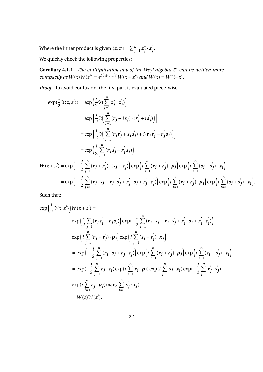Where the inner product is given  $\langle z, z' \rangle = \sum_{j=1}^{n} z_j^*$  $\int \limits_{j}^{*}{\cdot z^{j}}$ *j* .

We quickly check the following properties:

**Corollary 4.1.1.** *The multiplication law of the Weyl algebra* W *can be written more*  $compactly as W(z)W(z') = e^{(\frac{i}{2}\Im(z,z'))}W(z+z') \text{ and } W(z) = W^*(-z).$ 

*Proof.* To avoid confusion, the first part is evaluated piece-wise:

$$
\exp\left(\frac{i}{2}\Im\langle z,z'\rangle\right) = \exp\left(\frac{i}{2}\Im\left(\sum_{j=1}^{n}z_j^*\cdot z_j'\right)\right)
$$
\n
$$
= \exp\left[\frac{i}{2}\Im\left(\sum_{j=1}^{n}(r_j-is_j)\cdot(r_j'+is_j')\right)\right]
$$
\n
$$
= \exp\left[\frac{i}{2}\Im\left(\sum_{j=1}^{n}(r_jr_j'+s_js_j')+i(r_js_j'-r_js_j)\right)\right]
$$
\n
$$
= \exp\left(\frac{i}{2}\sum_{j=1}^{n}(r_js_j'-r_js_j)\right).
$$
\n
$$
W(z+z') = \exp\left(-\frac{i}{2}\sum_{j=1}^{n}(r_j+r_j')\cdot(s_j+s_j')\right)\exp\left(i\sum_{j=1}^{n}(r_j+r_j')\cdot p_j\right)\exp\left(i\sum_{j=1}^{n}(s_j+s_j')\cdot x_j\right)
$$
\n
$$
= \exp\left(-\frac{i}{2}\sum_{j=1}^{n}(r_j\cdot s_j+r_j\cdot s_j'+r_j'\cdot s_j+r_j'\cdot s_j')\right)\exp\left(i\sum_{j=1}^{n}(r_j+r_j')\cdot p_j\right)\exp\left(i\sum_{j=1}^{n}(s_j+s_j')\cdot x_j\right).
$$

Such that:

$$
\exp\left(\frac{i}{2}\Im\langle z,z'\rangle\right)W(z+z') =
$$
\n
$$
\exp\left(\frac{i}{2}\sum_{j=1}^{n}(\mathbf{r}_{j}\mathbf{s}_{j}^{'}-\mathbf{r}_{j}^{'}\mathbf{s}_{j})\right)\exp\left(-\frac{i}{2}\sum_{j=1}^{n}(\mathbf{r}_{j}\cdot\mathbf{s}_{j}+\mathbf{r}_{j}\cdot\mathbf{s}_{j}^{'}+\mathbf{r}_{j}^{'}\cdot\mathbf{s}_{j}+\mathbf{r}_{j}^{'}\cdot\mathbf{s}_{j}^{'})\right)
$$
\n
$$
\exp\left(i\sum_{j=1}^{n}(\mathbf{r}_{j}+\mathbf{r}_{j}^{'})\cdot\mathbf{p}_{j}\right)\exp\left(i\sum_{j=1}^{n}(\mathbf{s}_{j}+\mathbf{s}_{j}^{'})\cdot\mathbf{x}_{j}\right)
$$
\n
$$
=\exp\left(-\frac{i}{2}\sum_{j=1}^{n}(\mathbf{r}_{j}\cdot\mathbf{s}_{j}+\mathbf{r}_{j}^{'}\cdot\mathbf{s}_{j}^{'})\right)\exp\left(i\sum_{j=1}^{n}(\mathbf{r}_{j}+\mathbf{r}_{j}^{'})\cdot\mathbf{p}_{j}\right)\exp\left(i\sum_{j=1}^{n}(\mathbf{s}_{j}+\mathbf{s}_{j}^{'})\cdot\mathbf{x}_{j}\right)
$$
\n
$$
=\exp(-\frac{i}{2}\sum_{j=1}^{n}\mathbf{r}_{j}\cdot\mathbf{s}_{j})\exp(i\sum_{j=1}^{n}\mathbf{r}_{j}\cdot\mathbf{p}_{j})\exp(i\sum_{j=1}^{n}\mathbf{s}_{j}^{'}\cdot\mathbf{x}_{j})
$$
\n
$$
\exp(i\sum_{j=1}^{n}\mathbf{r}_{j}^{'}\cdot\mathbf{p}_{j})\exp(i\sum_{j=1}^{n}\mathbf{s}_{j}^{'}\cdot\mathbf{x}_{j})
$$
\n
$$
=W(z)W(z').
$$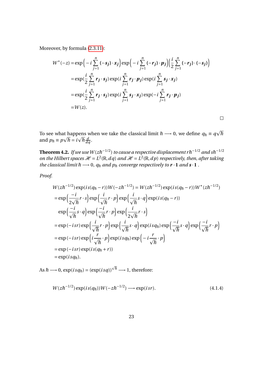Moreover, by formula [\(2.3.11\)](#page-14-0):

$$
W^*(-z) = \exp\left(-i\sum_{j=1}^n (-s_j) \cdot x_j\right) \exp\left(-i\sum_{j=1}^n (-r_j) \cdot p_j\right) \left(\frac{i}{2} \sum_{j=1}^n (-r_j) \cdot (-s_j)\right)
$$
  

$$
= \exp\left(\frac{i}{2} \sum_{j=1}^n r_j \cdot s_j\right) \exp\left(i\sum_{j=1}^n r_j \cdot p_j\right) \exp\left(i\sum_{j=1}^n s_j \cdot x_j\right)
$$
  

$$
= \exp\left(\frac{i}{2} \sum_{j=1}^n r_j \cdot s_j\right) \exp\left(i\sum_{j=1}^n s_j \cdot x_j\right) \exp\left(-i\sum_{j=1}^n r_j \cdot p_j\right)
$$
  

$$
= W(z).
$$

To see what happens when we take the classical limit  $\hbar \longrightarrow 0$ , we define  $q_{\hbar} \equiv q$ It happens when we take the classical limit  $\hbar \longrightarrow 0$ , we define  $q_{\hbar} \equiv q \sqrt{\hbar}$ and  $p_h \equiv p\sqrt{h} = i\sqrt{h}\frac{d}{dq}$ .

 $\Box$ 

**Theorem 4.2.** If we use  $W(z \hbar^{-1/2})$  to cause a respective displacement r  $\hbar^{-1/2}$  and s $\hbar^{-1/2}$ *on the Hilbert spaces*  $\mathcal{H} = L^2(\mathbb{R}, dq)$  and  $\mathcal{H} = L^2(\mathbb{R}, dp)$  *respectively, then, after taking the classical limit*  $\hbar \rightarrow 0$ ,  $q_{\hbar}$  *and*  $p_{\hbar}$  *converge respectively to*  $\mathbf{r} \cdot \mathbf{1}$  *and*  $\mathbf{s} \cdot \mathbf{1}$ .

*Proof.*

$$
W(z\hbar^{-1/2}) \exp(is(q_{\hbar}-r))W(-zh^{-1/2}) = W(z\hbar^{-1/2}) \exp(is(q_{\hbar}-r))W^*(zh^{-1/2})
$$
  
\n
$$
= \exp\left(\frac{-i}{2\sqrt{\hbar}}r \cdot s\right) \exp\left(\frac{i}{\sqrt{\hbar}}r \cdot p\right) \exp\left(\frac{i}{\sqrt{\hbar}}s \cdot q\right) \exp(is(q_{\hbar}-r))
$$
  
\n
$$
\exp\left(\frac{-i}{\sqrt{\hbar}}s \cdot q\right) \exp\left(\frac{-i}{\sqrt{\hbar}}r \cdot p\right) \exp\left(\frac{i}{2\sqrt{\hbar}}r \cdot s\right)
$$
  
\n
$$
= \exp(-isr) \exp\left(\frac{i}{\sqrt{\hbar}}r \cdot p\right) \exp\left(\frac{i}{\sqrt{\hbar}}s \cdot q\right) \exp(isq_{\hbar}) \exp\left(\frac{-i}{\sqrt{\hbar}}s \cdot q\right) \exp\left(\frac{-i}{\sqrt{\hbar}}r \cdot p\right)
$$
  
\n
$$
= \exp(-isr) \exp\left(i\frac{r}{\sqrt{\hbar}} \cdot p\right) \exp(isq_{\hbar}) \exp\left(-i\frac{r}{\sqrt{\hbar}} \cdot p\right)
$$
  
\n
$$
= \exp(-isr) \exp(isq_{\hbar}+r))
$$
  
\n
$$
= \exp(isq_{\hbar}).
$$

As  $\hbar \longrightarrow 0$ ,  $\exp(isq_{\hbar}) = (\exp(isq))$  $\sqrt{h} \longrightarrow 1$ , therefore:

$$
W(z\hbar^{-1/2})\exp(i s(q_{\hbar}))W(-z\hbar^{-1/2}) \longrightarrow \exp(isr).
$$
 (4.1.4)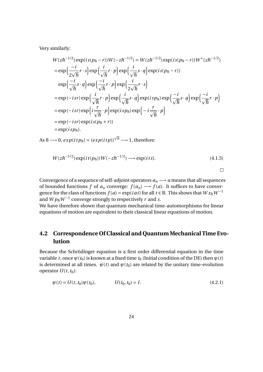Very similarly:

$$
W(z\hbar^{-1/2}) \exp(is(p_{\hbar}-r))W(-zh^{-1/2}) = W(z\hbar^{-1/2}) \exp(is(p_{\hbar}-r))W^*(zh^{-1/2})
$$
  
\n
$$
= \exp\left(\frac{-i}{2\sqrt{\hbar}}r \cdot s\right) \exp\left(\frac{i}{\sqrt{\hbar}}r \cdot p\right) \exp\left(\frac{i}{\sqrt{\hbar}}s \cdot q\right) \exp(isp_{\hbar}-r))
$$
  
\n
$$
\exp\left(\frac{-i}{\sqrt{\hbar}}s \cdot q\right) \exp\left(\frac{-i}{\sqrt{\hbar}}r \cdot p\right) \exp\left(\frac{i}{2\sqrt{\hbar}}r \cdot s\right)
$$
  
\n
$$
= \exp(-isr) \exp\left(\frac{i}{\sqrt{\hbar}}r \cdot p\right) \exp\left(\frac{i}{\sqrt{\hbar}}s \cdot q\right) \exp(isp_{\hbar}) \exp\left(\frac{-i}{\sqrt{\hbar}}s \cdot q\right) \exp\left(\frac{-i}{\sqrt{\hbar}}r \cdot p\right)
$$
  
\n
$$
= \exp(-isr) \exp\left(i\frac{r}{\sqrt{\hbar}}\cdot p\right) \exp(isp_{\hbar}) \exp\left(-i\frac{r}{\sqrt{\hbar}}\cdot p\right)
$$
  
\n
$$
= \exp(-isr) \exp(is(p_{\hbar}+r))
$$
  
\n
$$
= \exp(isp_{\hbar}).
$$

 $\text{As } \hbar \longrightarrow 0$ ,  $\exp(itp_{\hbar}) = (\exp(itp))$  $\sqrt{\hbar} \longrightarrow 1$ , therefore:

$$
W(z\hbar^{-1/2})\exp(it(p_{\hbar}))W(-z\hbar^{-1/2})\longrightarrow \exp(its). \tag{4.1.5}
$$

 $\Box$ 

Convergence of a sequence of self-adjoint operators  $a_n \rightarrow a$  means that all sequences of bounded functions *f* of  $a_n$  converge:  $f(a_n) \rightarrow f(a)$ . It suffices to have convergence for the class of functions  $f(a) = \exp(iat)$  for all  $t \in \mathbb{R}$ . This shows that  $Wx_{\hbar}W^{-1}$ and  $W p_{\hbar} W^{-1}$  converge strongly to respectively *r* and *s*.

We have therefore shown that quantum mechanical time-automorphisms for linear equations of motion are equivalent to their classical linear equations of motion.

## <span id="page-26-0"></span>**4.2 Correspondence Of Classical and Quantum Mechanical Time Evolution**

Because the Schrödinger equation is a first order differential equation in the time variable *t*, once  $\psi(t_0)$  is known at a fixed time  $t_0$  (Initial condition of the DE) then  $\psi(t)$ is determined at all times.  $\psi(t)$  and  $\psi(t_0)$  are related by the unitary time-evolution operator  $U(t, t_0)$ :

$$
\psi(t) = U(t, t_0)\psi(t_0), \qquad U(t_0, t_0) = I. \tag{4.2.1}
$$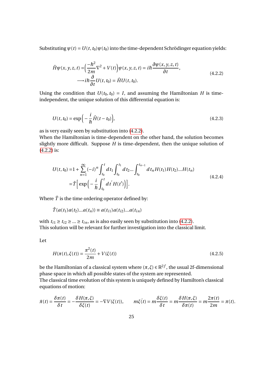<span id="page-27-0"></span>Substituting  $\psi(t) = U(t, t_0)\psi(t_0)$  into the time-dependent Schrödinger equation yields:

$$
\hat{H}\psi(x, y, z, t) = \left(\frac{-\hbar^2}{2m}\nabla^2 + V(t)\right)\psi(x, y, z, t) = i\hbar\frac{\partial\psi(x, y, z, t)}{\partial t},
$$
\n
$$
\longrightarrow i\hbar\frac{\partial}{\partial t}U(t, t_0) = \hat{H}U(t, t_0).
$$
\n(4.2.2)

Using the condition that  $U(t_0, t_0) = I$ , and assuming the Hamiltonian *H* is timeindependent, the unique solution of this differential equation is:

$$
U(t, t_0) = \exp\left(-\frac{i}{\hbar}\hat{H}(t - t_0)\right),
$$
\n(4.2.3)

as is very easily seen by substitution into [\(4.2.2\)](#page-27-0).

When the Hamiltonian is time-dependent on the other hand, the solution becomes slightly more difficult. Suppose *H* is time-dependent, then the unique solution of [\(4.2.2\)](#page-27-0) is:

$$
U(t, t_0) = 1 + \sum_{n=1}^{\infty} (-i)^n \int_{t_0}^t dt_1 \int_{t_0}^{t_1} dt_2 ... \int_{t_0}^{t_{n-1}} dt_n H(t_1) H(t_2) ... H(t_n)
$$
  
=  $\hat{T} \Big[ \exp \Big( - \frac{i}{\hbar} \int_{t_0}^t dt' H(t') \Big) \Big].$  (4.2.4)

Where  $\hat{T}$  is the time ordering operator defined by:

$$
\hat{T}(a(t_1)a(t_2)...a(t_n)) \equiv a(t_{i1})a(t_{i2})...a(t_{in})
$$

with  $t_{i1} \geq t_{i2} \geq ... \geq t_{in}$ , as is also easily seen by substitution into [\(4.2.2\)](#page-27-0). This solution will be relevant for further investigation into the classical limit.

<span id="page-27-2"></span>Let

<span id="page-27-1"></span>
$$
H(\pi(t), \xi(t)) = \frac{\pi^2(t)}{2m} + V(\xi(t))
$$
\n(4.2.5)

be the Hamiltonian of a classical system where  $(\pi, \xi) \in \mathbb{R}^{2f}$ , the usual 2f-dimensional phase space in which all possible states of the system are represented. The classical time evolution of this system is uniquely defined by Hamilton's classical equations of motion:

$$
\dot{\pi}(t) = \frac{\delta \pi(t)}{\delta t} = -\frac{\delta H(\pi, \xi)}{\delta \xi(t)} = -\nabla V(\xi(t)), \qquad m\xi(t) = m\frac{\delta \xi(t)}{\delta t} = m\frac{\delta H(\pi, \xi)}{\delta \pi(t)} = m\frac{2\pi(t)}{2m} = \pi(t).
$$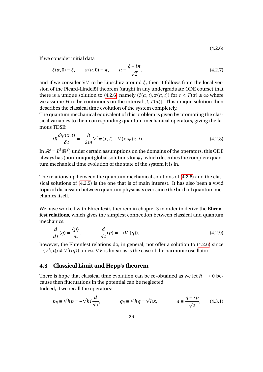(4.2.6)

If we consider initial data

$$
\xi(\alpha,0) \equiv \xi, \qquad \pi(\alpha,0) \equiv \pi, \qquad \alpha \equiv \frac{\xi + i\pi}{\sqrt{2}}, \tag{4.2.7}
$$

and if we consider  $\nabla V$  to be Lipschitz around  $\xi$ , then it follows from the local version of the Picard-Lindelöf theorem (taught in any undergraduate ODE course) that there is a unique solution to [\(4.2.6\)](#page-27-1) namely ( $\xi(\alpha, t), \pi(\alpha, t)$ ) for  $t < T(\alpha) \leq \infty$  where we assume *H* to be continuous on the interval  $[t, T(\alpha)]$ . This unique solution then describes the classical time evolution of the system completely.

The quantum mechanical equivalent of this problem is given by promoting the classical variables to their corresponding quantum mechanical operators, giving the famous TDSE:

<span id="page-28-1"></span>
$$
i\hbar \frac{\delta \psi(x,t)}{\delta t} = -\frac{\hbar}{2m} \nabla^2 \psi(x,t) + V(x)\psi(x,t). \tag{4.2.8}
$$

In  $\mathcal{H} = L^2(\mathbb{R}^f)$  under certain assumptions on the domains of the operators, this ODE always has (non-unique) global solutions for  $\psi_t$ , which describes the complete quantum mechanical time evolution of the state of the system it is in.

The relationship between the quantum mechanical solutions of [\(4.2.8\)](#page-28-1) and the classical solutions of [\(4.2.5\)](#page-27-2) is the one that is of main interest. It has also been a vivid topic of discussion between quantum physicists ever since the birth of quantum mechanics itself.

We have worked with Ehrenfest's theorem in chapter 3 in order to derive the **Ehrenfest relations**, which gives the simplest connection between classical and quantum mechanics:

$$
\frac{d}{dt}\langle q\rangle = \frac{\langle p\rangle}{m}, \qquad \frac{d}{dt}\langle p\rangle = -\langle V'(q)\rangle, \tag{4.2.9}
$$

however, the Ehrenfest relations do, in general, not offer a solution to [\(4.2.6\)](#page-27-1) since  $-\langle V'(x) \rangle \neq V'(\langle q \rangle)$  unless  $\nabla V$  is linear as is the case of the harmonic oscillator.

#### <span id="page-28-0"></span>**4.3 Classical Limit and Hepp's theorem**

There is hope that classical time evolution can be re-obtained as we let  $\hbar \longrightarrow 0$  because then fluctuations in the potential can be neglected. Indeed, if we recall the operators:

$$
p_{\hbar} \equiv \sqrt{\hbar} p = -\sqrt{\hbar} i \frac{d}{dx}, \qquad q_{\hbar} \equiv \sqrt{\hbar} q = \sqrt{\hbar} x, \qquad a \equiv \frac{q + i p}{\sqrt{2}}, \qquad (4.3.1)
$$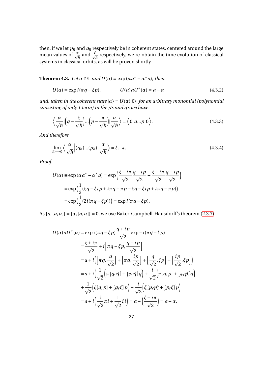then, if we let *p*ħ and *q*ħ respectively be in coherent states, centered around the large mean values of  $\frac{\pi}{\sqrt{\hbar}}$  and  $\frac{\xi}{\sqrt{\hbar}}$  respectively, we re-obtain the time evolution of classical systems in classical orbits, as will be proven shortly.

**Theorem 4.3.** *Let*  $\alpha \in \mathbb{C}$  *and*  $U(\alpha) \equiv \exp(\alpha a^* - a^* a)$ *, then* 

<span id="page-29-1"></span>
$$
U(\alpha) = \exp i(\pi q - \xi p), \qquad U(\alpha)aU^*(\alpha) = a - \alpha \qquad (4.3.2)
$$

*and, taken in the coherent state*  $|\alpha\rangle = U(\alpha)|0\rangle$ *, for an arbitrary monomial (polynomial consisting of only 1 term) in the p's and q's we have:*

$$
\left\langle \frac{\alpha}{\sqrt{\hbar}} \left| \left( q - \frac{\xi}{\sqrt{\hbar}} \right) \dots \left( p - \frac{\pi}{\sqrt{\hbar}} \right) \right| \frac{\alpha}{\sqrt{\hbar}} \right\rangle = \left\langle 0 \left| q \dots p \right| 0 \right\rangle. \tag{4.3.3}
$$

*And therefore*

<span id="page-29-0"></span>
$$
\lim_{\hbar \to 0} \left\langle \frac{\alpha}{\sqrt{\hbar}} \left| (q_{\hbar}) ... (p_{\hbar}) \right| \frac{\alpha}{\sqrt{\hbar}} \right\rangle = \xi ... \pi.
$$
\n(4.3.4)

*Proof.*

$$
U(\alpha) \equiv \exp(\alpha a^* - \alpha^* a) = \exp\left(\frac{\xi + i\pi}{\sqrt{2}} \frac{q - i p}{\sqrt{2}} - \frac{\xi - i\pi}{\sqrt{2}} \frac{q + i p}{\sqrt{2}}\right)
$$

$$
= \exp\left(\frac{1}{2} (\xi q - \xi i p + i\pi q + \pi p - \xi q - \xi i p + i\pi q - \pi p)\right)
$$

$$
= \exp\left(\frac{1}{2} (2i(\pi q - \xi p))\right) = \exp i(\pi q - \xi p).
$$

As  $[a, [a, a]] = [\alpha, [a, \alpha]] = 0$ , we use Baker-Campbell-Hausdorff's theorem [\(2.3.7\)](#page-14-1):

$$
U(\alpha)aU^*(\alpha) = \exp i(\pi q - \xi p) \frac{q + ip}{\sqrt{2}} \exp - i(\pi q - \xi p)
$$
  
\n
$$
= \frac{\xi + i\pi}{\sqrt{2}} + i \left[ \pi q - \xi p, \frac{q + ip}{\sqrt{2}} \right]
$$
  
\n
$$
= a + i \left( \left[ \pi q, \frac{q}{\sqrt{2}} \right] + \left[ \pi q, \frac{ip}{\sqrt{2}} \right] + \left[ \frac{q}{\sqrt{2}}, \xi p \right] + \left[ \frac{ip}{\sqrt{2}}, \xi p \right] \right)
$$
  
\n
$$
= a + i \left( \frac{1}{\sqrt{2}} \left[ \pi [q, q] + [q, q] q \right] + \frac{i}{\sqrt{2}} \left[ \pi [q, p] + [q, p] q \right] + \frac{1}{\sqrt{2}} \left( \xi [q, p] + [q, \xi] p \right) + \frac{i}{\sqrt{2}} \left( \xi [p, p] + [p, \xi] p \right)
$$
  
\n
$$
= a + i \left( \frac{i}{\sqrt{2}} \pi i + \frac{1}{\sqrt{2}} \xi i \right) = a - \left( \frac{\xi - i\pi}{\sqrt{2}} \right) = a - \alpha.
$$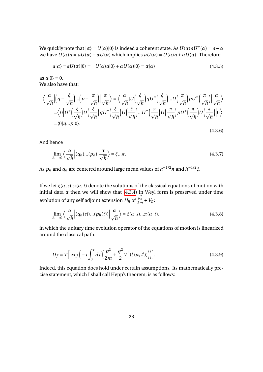We quickly note that  $|\alpha\rangle = U(\alpha)|0\rangle$  is indeed a coherent state. As  $U(\alpha)aU^*(\alpha) = a - \alpha$ we have  $U(\alpha)a = aU(\alpha) - \alpha U(\alpha)$  which implies  $aU(\alpha) = U(\alpha)a + \alpha U(\alpha)$ . Therefore:

$$
a|\alpha\rangle = aU(\alpha)|0\rangle = U(\alpha)a|0\rangle + \alpha U(\alpha)|0\rangle = \alpha|\alpha\rangle
$$
\n(4.3.5)

as  $a|0\rangle = 0$ . We also have that:

$$
\left\langle \frac{\alpha}{\sqrt{\hbar}} \left| \left( q - \frac{\xi}{\sqrt{\hbar}} \right) \dots \left( p - \frac{\pi}{\sqrt{\hbar}} \right) \right| \frac{\alpha}{\sqrt{\hbar}} \right\rangle = \left\langle \frac{\alpha}{\sqrt{\hbar}} | U \left( \frac{\xi}{\sqrt{\hbar}} \right) q U^* \left( \frac{\xi}{\sqrt{\hbar}} \right) \dots U \left( \frac{\pi}{\sqrt{\hbar}} \right) p U^* \left( \frac{\pi}{\sqrt{\hbar}} \right) \right| \frac{\alpha}{\sqrt{\hbar}} \right\rangle
$$
  
=  $\left\langle 0 \left| U^* \left( \frac{\xi}{\sqrt{\hbar}} \right) U \left( \frac{\xi}{\sqrt{\hbar}} \right) q U^* \left( \frac{\xi}{\sqrt{\hbar}} \right) \dots U^* \left( \frac{\pi}{\sqrt{\hbar}} \right) U \left( \frac{\pi}{\sqrt{\hbar}} \right) p U^* \left( \frac{\pi}{\sqrt{\hbar}} \right) U \left( \frac{\pi}{\sqrt{\hbar}} \right) \right| 0 \right\rangle$   
=  $\langle 0 | q \dots p | 0 \rangle.$  (4.3.6)

And hence

$$
\lim_{\hbar \to 0} \left\langle \frac{\alpha}{\sqrt{\hbar}} \middle| (q_{\hbar}) ... (p_{\hbar}) \middle| \frac{\alpha}{\sqrt{\hbar}} \right\rangle = \xi ... \pi.
$$
\n(4.3.7)

 $\Box$ 

As  $p_{\hbar}$  and  $q_{\hbar}$  are centered around large mean values of  $\hbar^{-1/2} \pi$  and  $\hbar^{-1/2} \xi.$ 

If we let  $\xi(\alpha, s)$ ,  $\pi(\alpha, t)$  denote the solutions of the classical equations of motion with initial data  $\alpha$  then we will show that [\(4.3.4\)](#page-29-0) in Weyl form is preserved under time evolution of any self adjoint extension  $H_{\hbar}$  of  $\frac{p_h^2}{2m}$  $\frac{p_h^-}{2m} + V_h$ 

$$
\lim_{\hbar \to 0} \left\langle \frac{\alpha}{\sqrt{\hbar}} \left| (q_{\hbar}(s))... (p_{\hbar}(t)) \right| \frac{\alpha}{\sqrt{\hbar}} \right\rangle = \xi(\alpha, s)...\pi(\alpha, t).
$$
\n(4.3.8)

in which the unitary time evolution operator of the equations of motion is linearized around the classical path:

$$
U_f = T \Big[ \exp \Big( -i \int_0^t dt' \Big( \frac{p^2}{2m} + \frac{q^2}{2} V''(\xi(\alpha, t')) \Big) \Big) \Big]. \tag{4.3.9}
$$

Indeed, this equation does hold under certain assumptions. Its mathematically precise statement, which I shall call Hepp's theorem, is as follows: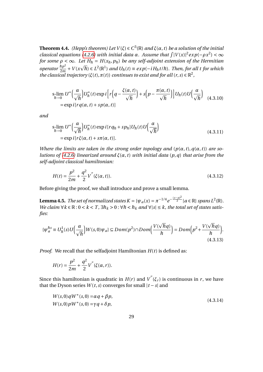**Theorem 4.4.** (Hepp's theorem) Let  $V(ξ) ∈ C<sup>3</sup>(ℝ)$  and  $ξ(α, t)$  be a solution of the initial *classical equations [\(4.2.6\)](#page-27-1) with initial data*  $\alpha$ *. Assume that*  $\int |V(x)|^2 exp(-\rho x^2) < \infty$ *for some*  $\rho < \infty$ *. Let*  $H_{\hbar} = H(x_{\hbar}, p_{\hbar})$  *be any self-adjoint extension of the Hermitian operator*  $\frac{\hbar p^2}{2m}$  $rac{\hbar p^2}{2m} + V(x)$  $\epsilon$  $\overline{h}$ )  $\in$   $L^2(\mathbb{R}^1)$  and  $U_{\hbar}(t)$   $\equiv$   $exp(-iH_{\hbar}t/\hbar)$ . Then, for all t for which *the classical trajectory* ( $\xi(t)$ ,  $\pi(t)$ ) *continues to exist and for all* (*r*, *s*)  $\in \mathbb{R}^2$ ,

<span id="page-31-2"></span>
$$
s\lim_{\hbar \to 0} U^* \left( \frac{\alpha}{\sqrt{\hbar}} \right) U^*_{\hbar}(t) \exp i \left[ r \left( q - \frac{\xi(\alpha, t)}{\sqrt{\hbar}} \right) + s \left( p - \frac{\pi(\alpha, t)}{\sqrt{\hbar}} \right) \right] U_{\hbar}(t) U \left( \frac{\alpha}{\sqrt{\hbar}} \right) = \exp i [r q(\alpha, t) + sp(\alpha, t)]
$$
\n(4.3.10)

<span id="page-31-3"></span>*and*

$$
s-lim_{\hbar \to 0} U^* \left( \frac{\alpha}{\sqrt{\hbar}} \right) U^*_{\hbar} (t) \exp i[r q_{\hbar} + sp_{\hbar}] U_{\hbar} (t) U \left( \frac{\alpha}{\sqrt{\hbar}} \right)
$$
  
=  $\exp i[r \xi(\alpha, t) + s\pi(\alpha, t)].$  (4.3.11)

*Where the limits are taken in the strong order topology and*  $(p(\alpha, t), q(\alpha, t))$  are so*lutions of [\(4.2.6\)](#page-27-1) linearized around ξ*(*α*,*t*) *with initial data* (*p*,*q*) *that arise from the self-adjoint classical hamiltonian:*

$$
H(t) = \frac{p^2}{2m} + \frac{q^2}{2}V''(\xi(\alpha, t)).
$$
\n(4.3.12)

Before giving the proof, we shall introduce and prove a small lemma.

**Lemma 4.5.** *The set of normalized states*  $K = \{ \psi_a(x) = \pi^{-1/4} e^{-\frac{(x-a)^2}{2}} | a \in \mathbb{R} \}$  spans  $L^2(\mathbb{R})$ . *We claim*  $\forall k \in \mathbb{R} : 0 < k < T$ ,  $\exists \hbar_k > 0 : \forall \hbar < \hbar_k$  and  $\forall |s| \leq k$ , the total set of states satis*fies:*

<span id="page-31-1"></span>
$$
\{\psi_a^{\hbar s} \equiv U_{\hbar}^1(s)U\Big(\frac{\alpha}{\sqrt{\hbar}}\Big)W(s,0)\psi_a\} \subseteq Dom(p^2) \cap Dom\Big(\frac{V(\sqrt{\hbar}q)}{\hbar}\Big) = Dom\Big(p^2 + \frac{V(\sqrt{\hbar}q)}{\hbar}\Big). \tag{4.3.13}
$$

*Proof.* We recall that the selfadjoint Hamiltonian  $H(t)$  is defined as:

$$
H(r) = \frac{p^2}{2m} + \frac{q^2}{2} V^{''}(\xi(\alpha, r)).
$$

Since this hamiltonian is quadratic in  $H(r)$  and  $V^{''}(\xi_r)$  is continuous in *r*, we have that the Dyson series  $W(t, s)$  converges for small  $|t - s|$  and

<span id="page-31-0"></span>
$$
W(s,0)qW^*(s,0) = \alpha q + \beta p,
$$
  
W(s,0)pW^\*(s,0) = \gamma q + \delta p, (4.3.14)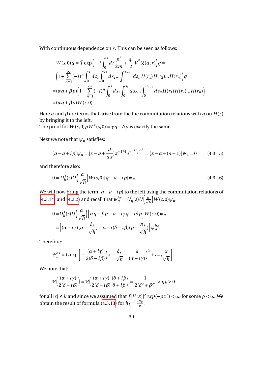With continuous dependence on *s*. This can be seen as follows:

$$
W(s,0)q = \hat{T} \exp\left(-i\int_0^s dr \frac{p^2}{2m} + \frac{q^2}{2}V''(\xi(\alpha,r))\right)q =
$$
  

$$
\left(1 + \sum_{n=1}^{\infty} (-i)^n \int_0^s ds_1 \int_0^{s_1} ds_2 ... \int_0^{s_{n-1}} ds_n H(r_1) H(r_2) ... H(r_n)\right)q
$$
  

$$
= (\alpha q + \beta p) \left(1 + \sum_{n=1}^{\infty} (-i)^n \int_0^s ds_1 \int_0^{s_1} ds_2 ... \int_0^{s_{n-1}} ds_n H(r_1) H(r_2) ... H(r_n)\right)
$$
  

$$
= (\alpha q + \beta p)W(s,0).
$$

Here  $\alpha$  and  $\beta$  are terms that arise from the the commutation relations with  $q$  on  $H(r)$ by bringing it to the left.

The proof for  $W(s, 0) pW^*(s, 0) = \gamma q + \delta p$  is exactly the same.

Next we note that  $\psi_a$  satisfies:

$$
[q - a + i p]\psi_a = [x - a + \frac{d}{dx}]\pi^{-1/4}e^{-\frac{-(x - a)^2}{2}} = [x - a + (a - x)]\psi_a = 0 \quad (4.3.15)
$$

and therefore also:

$$
0 = U_h^1(s)U\left(\frac{\alpha}{\sqrt{h}}\right)W(s,0)[q-a+i p]\psi_a.
$$
\n(4.3.16)

We will now bring the term  $[q - a + i p]$  to the left using the commutation relations of [\(4.3.14\)](#page-31-0) and [\(4.3.2\)](#page-29-1) and recall that  $\psi_a^{hs} = U_h^1(s)U\left(\frac{\alpha}{\sqrt{h}}\right)$  $\int W(s,0)\psi_a$ 

$$
0 = U_h^1(s)U\left(\frac{\alpha}{\sqrt{h}}\right)\left[\alpha q + \beta p - a + i\gamma q + i\delta p\right]W(s,0)\psi_a
$$
  
= 
$$
\left[(\alpha + i\gamma)(q - \frac{\xi_s}{\sqrt{h}}) - a + i(\delta - i\beta)(p - \frac{\pi_s}{\sqrt{h}})\right]\psi_a^{hs}.
$$

Therefore:

$$
\psi_a^{\hbar s} = C \exp \bigg[ -\frac{(\alpha + i\gamma)}{2(\delta - i\beta)} \bigg( x - \frac{\xi_s}{\sqrt{\hbar}} - \frac{a}{(\alpha + i\gamma)} \bigg)^2 + i\pi_s \frac{x}{\sqrt{\hbar}} \bigg].
$$

We note that:

$$
\Re\left(\frac{(\alpha+i\gamma)}{2(\delta-i\beta)}\right)=\Re\left(\frac{(\alpha+i\gamma)}{2(\delta-i\beta)}\frac{(\delta+i\beta}{\delta+i\beta}\right)=\frac{1}{2(\delta^2+\beta^2)}>\eta_k>0
$$

for all  $|s| \le k$  and since we assumed that  $\int |V(x)|^2 exp(-\rho x^2) < \infty$  for some  $\rho < \infty$ . We obtain the result of formula [\(4.3.13\)](#page-31-1) for  $\hbar_k = \frac{2\eta_k}{\rho_k}$  $\Box$ *ρ* .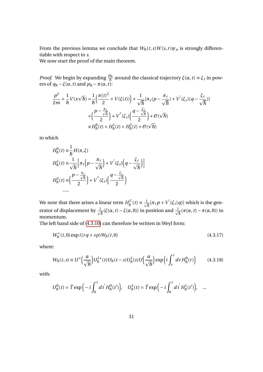From the previous lemma we conclude that  $W_{\hbar}(t,s)W(s,r)\psi_a$  is strongly differentiable with respect to *s*.

We now start the proof of the main theorem.

*Proof.* We begin by expanding  $\frac{H_h}{\hbar}$  around the classical trajectory  $\xi(\alpha, t) \equiv \xi_t$  in powers of  $q_{\hbar} - \xi(\alpha, t)$  and  $p_{\hbar} - \pi(\alpha, t)$ :

$$
\frac{p^2}{2m} + \frac{1}{\hbar} V(x\sqrt{\hbar}) = \frac{1}{\hbar} \left( \frac{\pi(t)^2}{2} + V(\xi(t)) \right) + \frac{1}{\sqrt{\hbar}} [\pi_t (p - \frac{\pi_t}{\sqrt{\hbar}}) + V'(\xi_t) (q - \frac{\xi_t}{\sqrt{\hbar}})]
$$
  
+ 
$$
\left( \frac{p - \frac{\pi_t}{\sqrt{\hbar}}}{2} \right) + V''(\xi_t) \left( \frac{q - \frac{\xi_t}{\sqrt{\hbar}}}{2} \right) + \mathcal{O}(\sqrt{\hbar})
$$
  
=  $H_h^0(t) + H_h^1(t) + H_h^2(t) + \mathcal{O}(\sqrt{\hbar})$ 

in which

$$
H_{\hbar}^{0}(t) \equiv \frac{1}{\hbar} H(\pi, \xi)
$$
  
\n
$$
H_{\hbar}^{1}(t) \equiv \frac{1}{\sqrt{\hbar}} \left[ \pi_{t} \left( p - \frac{\pi_{t}}{\sqrt{\hbar}} \right) + V'(\xi_{t}) \left( q - \frac{\xi_{t}}{\sqrt{\hbar}} \right) \right]
$$
  
\n
$$
H_{\hbar}^{2}(t) \equiv \left( \frac{p - \frac{\pi_{t}}{\sqrt{\hbar}}}{2} \right) + V''(\xi_{t}) \left( \frac{q - \frac{\xi_{t}}{\sqrt{\hbar}}}{2} \right)
$$
  
\n......

We note that there arises a linear term  $H^{1'}_{\boldsymbol{h}}$  $\frac{d}{dt}f(t) = \frac{1}{\sqrt{\hbar}}[\pi_t p + V'(\xi_t)q)]$  which is the generator of displacement by  $\frac{1}{\sqrt{\hbar}}(\xi(\alpha, t) - \xi(\alpha, 0))$  in position and  $\frac{1}{\sqrt{\hbar}}(\pi(\alpha, t) - \pi(\alpha, 0))$  in momentum.

The left hand side of [\(4.3.10\)](#page-31-2) can therefore be written in Weyl form:

<span id="page-33-0"></span>
$$
W_{\hbar}^{*}(t,0) \exp i(rq + sp)W_{\hbar}(t,0)
$$
\n(4.3.17)

where:

$$
W_{\hbar}(t,s) \equiv U^* \Big(\frac{\alpha}{\sqrt{\hbar}}\Big) U_{\hbar}^{1*}(t) U_{\hbar}(t-s) U_{\hbar}^{1}(s) U \Big(\frac{\alpha}{\sqrt{\hbar}}\Big) \exp\Big(i \int_s^t dr H_{\hbar}^0(r) \Big) \tag{4.3.18}
$$

with:

$$
U_{\hbar}^{0}(t) = \hat{T} \exp\left(-i \int_{0}^{t} dt^{'} H_{\hbar}^{0}(t')\right), \quad U_{\hbar}^{1}(t) = \hat{T} \exp\left(-i \int_{0}^{t} dt^{'} H_{\hbar}^{1}(t')\right), \quad \dots
$$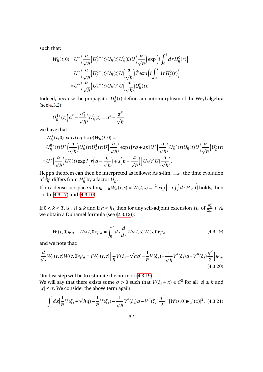such that:

$$
W_{\hbar}(t,0) = U^* \left(\frac{\alpha}{\sqrt{\hbar}}\right) U_{\hbar}^{1*}(t) U_{\hbar}(t) U_{\hbar}^{1}(0) U \left(\frac{\alpha}{\sqrt{\hbar}}\right) \exp\left(i \int_0^t dr H_{\hbar}^0(r)\right)
$$
  

$$
= U^* \left(\frac{\alpha}{\sqrt{\hbar}}\right) U_{\hbar}^{1*}(t) U_{\hbar}(t) U \left(\frac{\alpha}{\sqrt{\hbar}}\right) \hat{T} \exp\left(i \int_0^t dr H_{\hbar}^0(r)\right)
$$
  

$$
= U^* \left(\frac{\alpha}{\sqrt{\hbar}}\right) U_{\hbar}^{1*}(t) U_{\hbar}(t) U \left(\frac{\alpha}{\sqrt{\hbar}}\right) U_{\hbar}^0(t).
$$

Indeed, because the propagator  $U_{\hbar}^1(t)$  defines an automorphism of the Weyl algebra (see [4.3.2\)](#page-29-1):

$$
U_{\hbar}^{1*}(t)\Big(a^{\#}-\frac{\alpha^{\#}}{\sqrt{\hbar}}\Big)U_{\hbar}^{1}(t)=a^{\#}-\frac{\alpha^{\#}}{\sqrt{\hbar}}
$$

we have that

$$
W_{\hbar}^{*}(t,0) \exp i(rq + sp)W_{\hbar}(t,0) =
$$
  
\n
$$
U_{\hbar}^{0*}(t)U^{*}\left(\frac{\alpha}{\sqrt{\hbar}}\right)U_{\hbar}^{*}(t)U_{\hbar}^{1}(t)U\left(\frac{\alpha}{\sqrt{\hbar}}\right) \exp i[rq + sp]U^{*}\left(\frac{\alpha}{\sqrt{\hbar}}\right)U_{\hbar}^{1*}(t)U_{\hbar}(t)U\left(\frac{\alpha}{\sqrt{\hbar}}\right)U_{\hbar}^{0}(t)
$$
  
\n
$$
=U^{*}\left(\frac{\alpha}{\sqrt{\hbar}}\right)U_{\hbar}^{*}(t) \exp i\left[r\left(q - \frac{\xi}{\sqrt{\hbar}}\right) + s\left(p - \frac{\pi}{\sqrt{\hbar}}\right)\right]U_{\hbar}(t)U\left(\frac{\alpha}{\sqrt{\hbar}}\right).
$$

Hepp's theorem can then be interpreted as follows: As s-lim $_{\hbar\longrightarrow 0}$ , the time evolution of  $\frac{H_h}{\hbar}$  differs from  $H_h^1$  by a factor  $U_h^2$ .

If on a dense subspace s-lim $_{\hbar\longrightarrow 0}$   $W_{\hbar}(t,s)=W(t,s)\equiv \hat{T}\exp\left(-i\int_{s}^{t}drH(r)\right)$  holds, then so do [\(4.3.17\)](#page-33-0) and [\(4.3.10\)](#page-31-2).

<span id="page-34-0"></span>If  $0 < k < T, |s|, |t| \leq k$  and if  $\hbar < \hbar_k$  then for any self-adjoint extension  $H_{\hbar}$  of  $\frac{p_h^2}{2m_k}$  $\frac{p_{\bar{h}}}{2m} + V_{\bar{h}}$ we obtain a Duhamel formula (see [\(2.3.12\)](#page-14-2)):

$$
W(t,0)\psi_a - W_h(t,0)\psi_a = \int_0^t ds \frac{d}{ds} W_h(t,s)W(s,0)\psi_a
$$
\n(4.3.19)

and we note that:

$$
\frac{d}{ds}W_{\hbar}(t,s)W(s,0)\psi_{a} = iW_{\hbar}(t,s)\left[\frac{1}{\hbar}V(\xi_{s}+\sqrt{h}q)-\frac{1}{\hbar}V(\xi_{s})-\frac{1}{\sqrt{\hbar}}V'(\xi_{s})q-V''(\xi_{s})\frac{q^{2}}{2}\right]\psi_{a}.
$$
\n(4.3.20)

Our last step will be to estimate the norm of [\(4.3.19\)](#page-34-0).

We will say that there exists some  $\sigma > 0$  such that  $V(\xi_s + x) \in C^3$  for all  $|s| \leq k$  and  $|x| \leq \sigma$ . We consider the above term again:

<span id="page-34-1"></span>
$$
\int dx \left| \frac{1}{\hbar} V(\xi_s + \sqrt{\hbar} q) - \frac{1}{\hbar} V(\xi_s) - \frac{1}{\sqrt{\hbar}} V'(\xi_s) q - V''(\xi_s) \frac{q^2}{2} \right|^2 |W(s, 0)\psi_a)(x)|^2. \tag{4.3.21}
$$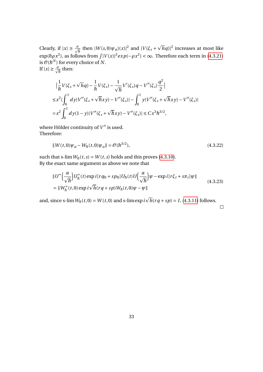Clearly, if  $|x| \ge \frac{\sigma}{\sqrt{h}}$  then  $|W(s,0)\psi_a(x)|^2$  and  $|V(\xi_s +$  $\sqrt[h]{h}$   $|hq\rangle|^2$  increases at most like  $\exp(\hbar \rho x^2)$ , as follows from  $\int |V(x)|^2 exp(-\rho x^2) < \infty$ . Therefore each term in [\(4.3.21\)](#page-34-1) is  $\mathscr{O}(\hbar^N)$  for every choice of  $N.$ If  $|x| \geq \frac{\sigma}{\sqrt{\hbar}}$  then:

$$
\begin{split} & \left| \frac{1}{\hbar} V(\xi_s + \sqrt{h}q) - \frac{1}{\hbar} V(\xi_s) - \frac{1}{\sqrt{\hbar}} V'(\xi_s) q - V''(\xi_s) \frac{q^2}{2} \right| \\ &\leq x^2 \big( \int_0^1 dy |V''(\xi_s + \sqrt{\hbar}xy) - V''(\xi_s) | - \int_0^1 y |V''(\xi_s + \sqrt{\hbar}xy) - V''(\xi_s) | \\ &= x^2 \int_0^1 dy (1 - y) |V''(\xi_s + \sqrt{\hbar}xy) - V''(\xi_s) | \leq C x^3 \hbar^{3/2}, \end{split}
$$

where Hölder continuity of  $V^{\prime\prime}$  is used. Therefore:

$$
||W(t,0)\psi_a - W_{\hbar}(t,0)\psi_a|| = \mathcal{O}(\hbar^{3/2}),
$$
\n(4.3.22)

such that s-lim  $W_{\hbar}(t,s) = W(t,s)$  holds and this proves [\(4.3.10\)](#page-31-2). By the exact same argument as above we note that

$$
\|U^*\left(\frac{\alpha}{\sqrt{\hbar}}\right)U_{\hbar}^*(t)\exp i[rq_{\hbar}+sp_{\hbar}]U_{\hbar}(t)U\left(\frac{\alpha}{\sqrt{\hbar}}\right)\psi - \exp i[r\xi_t + s\pi_t]\psi\|
$$
  
=\|W\_{\hbar}^\*(t,0)\exp i\sqrt{\hbar}(rq+sp)W\_{\hbar}(t,0)\psi - \psi\| (4.3.23)

and, since s-lim  $W_{\hbar}(t,0) = W(t,0)$  and s-limexp *i*  $\overline{h}(rq + sp) = I$ , [\(4.3.11\)](#page-31-3) follows.

 $\Box$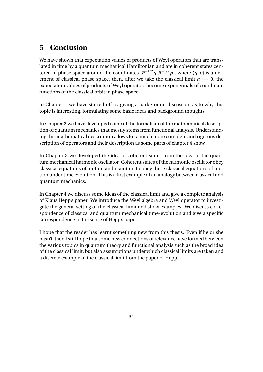## <span id="page-36-0"></span>**5 Conclusion**

We have shown that expectation values of products of Weyl operators that are translated in time by a quantum mechanical Hamiltonian and are in coherent states centered in phase space around the coordinates  $(\hbar^{-1/2}q, \hbar^{-1/2}p)$ , where  $(q, p)$  is an element of classical phase space, then, after we take the classical limit  $\hbar \rightarrow 0$ , the expectation values of products of Weyl operators become exponentials of coordinate functions of the classical orbit in phase space.

in Chapter 1 we have started off by giving a background discussion as to why this topic is interesting, formulating some basic ideas and background thoughts.

In Chapter 2 we have developed some of the formalism of the mathematical description of quantum mechanics that mostly stems from functional analysis. Understanding this mathematical description allows for a much more complete and rigorous description of operators and their description as some parts of chapter 4 show.

In Chapter 3 we developed the idea of coherent states from the idea of the quantum mechanical harmonic oscillator. Coherent states of the harmonic oscillator obey classical equations of motion and maintain to obey these classical equations of motion under time evolution. This is a first example of an analogy between classical and quantum mechanics.

In Chapter 4 we discuss some ideas of the classical limit and give a complete analysis of Klaus Hepp's paper. We introduce the Weyl algebra and Weyl operator to investigate the general setting of the classical limit and show examples. We discuss correspondence of classical and quantum mechanical time-evolution and give a specific correspondence in the sense of Hepp's paper.

I hope that the reader has learnt something new from this thesis. Even if he or she hasn't, then I still hope that some new connections of relevance have formed between the various topics in quantum theory and functional analysis such as the broad idea of the classical limit, but also assumptions under which classical limits are taken and a discrete example of the classical limit from the paper of Hepp.